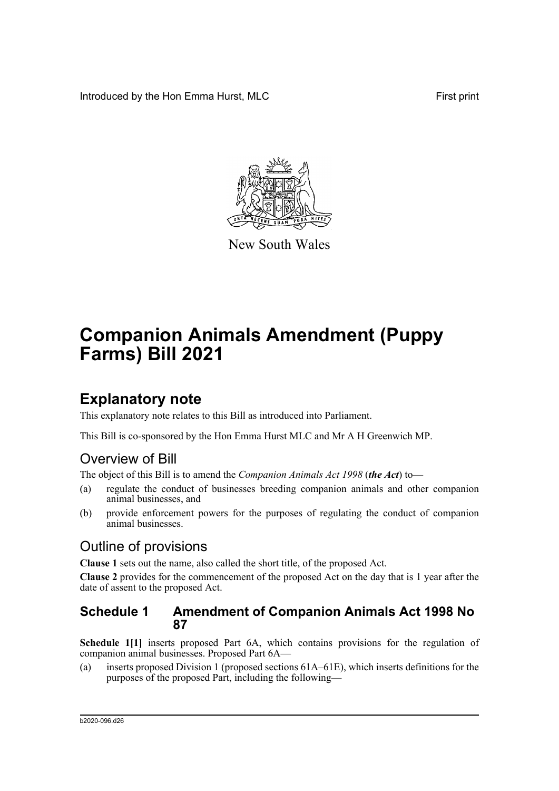Introduced by the Hon Emma Hurst, MLC First print



New South Wales

# **Companion Animals Amendment (Puppy Farms) Bill 2021**

## **Explanatory note**

This explanatory note relates to this Bill as introduced into Parliament.

This Bill is co-sponsored by the Hon Emma Hurst MLC and Mr A H Greenwich MP.

## Overview of Bill

The object of this Bill is to amend the *Companion Animals Act 1998* (*the Act*) to—

- (a) regulate the conduct of businesses breeding companion animals and other companion animal businesses, and
- (b) provide enforcement powers for the purposes of regulating the conduct of companion animal businesses.

## Outline of provisions

**Clause 1** sets out the name, also called the short title, of the proposed Act.

**Clause 2** provides for the commencement of the proposed Act on the day that is 1 year after the date of assent to the proposed Act.

## **Schedule 1 Amendment of Companion Animals Act 1998 No 87**

**Schedule 1[1]** inserts proposed Part 6A, which contains provisions for the regulation of companion animal businesses. Proposed Part 6A—

(a) inserts proposed Division 1 (proposed sections 61A–61E), which inserts definitions for the purposes of the proposed Part, including the following—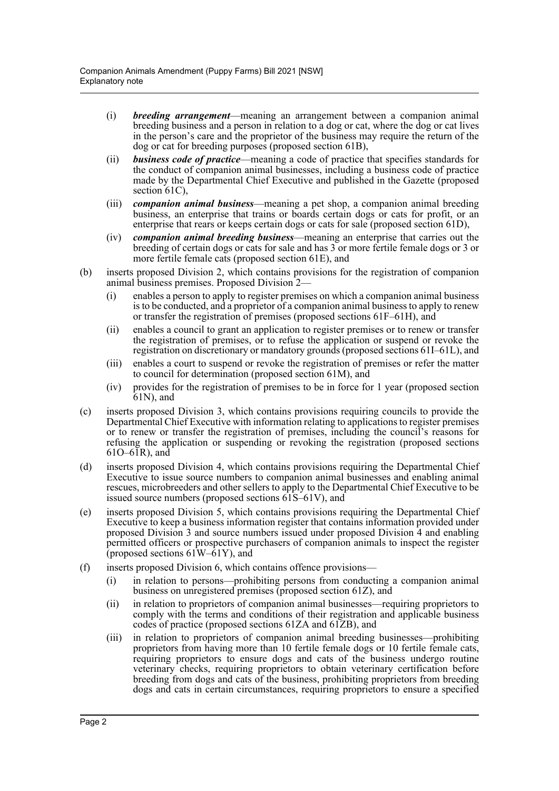- (i) *breeding arrangement*—meaning an arrangement between a companion animal breeding business and a person in relation to a dog or cat, where the dog or cat lives in the person's care and the proprietor of the business may require the return of the dog or cat for breeding purposes (proposed section 61B),
- (ii) *business code of practice*—meaning a code of practice that specifies standards for the conduct of companion animal businesses, including a business code of practice made by the Departmental Chief Executive and published in the Gazette (proposed section 61C),
- (iii) *companion animal business*—meaning a pet shop, a companion animal breeding business, an enterprise that trains or boards certain dogs or cats for profit, or an enterprise that rears or keeps certain dogs or cats for sale (proposed section 61D),
- (iv) *companion animal breeding business*—meaning an enterprise that carries out the breeding of certain dogs or cats for sale and has 3 or more fertile female dogs or 3 or more fertile female cats (proposed section 61E), and
- (b) inserts proposed Division 2, which contains provisions for the registration of companion animal business premises. Proposed Division 2—
	- (i) enables a person to apply to register premises on which a companion animal business is to be conducted, and a proprietor of a companion animal business to apply to renew or transfer the registration of premises (proposed sections 61F–61H), and
	- (ii) enables a council to grant an application to register premises or to renew or transfer the registration of premises, or to refuse the application or suspend or revoke the registration on discretionary or mandatory grounds (proposed sections 61I–61L), and
	- (iii) enables a court to suspend or revoke the registration of premises or refer the matter to council for determination (proposed section 61M), and
	- (iv) provides for the registration of premises to be in force for 1 year (proposed section 61N), and
- (c) inserts proposed Division 3, which contains provisions requiring councils to provide the Departmental Chief Executive with information relating to applications to register premises or to renew or transfer the registration of premises, including the council's reasons for refusing the application or suspending or revoking the registration (proposed sections  $610–6\bar{1}R$ ), and
- (d) inserts proposed Division 4, which contains provisions requiring the Departmental Chief Executive to issue source numbers to companion animal businesses and enabling animal rescues, microbreeders and other sellers to apply to the Departmental Chief Executive to be issued source numbers (proposed sections 61S–61V), and
- (e) inserts proposed Division 5, which contains provisions requiring the Departmental Chief Executive to keep a business information register that contains information provided under proposed Division 3 and source numbers issued under proposed Division 4 and enabling permitted officers or prospective purchasers of companion animals to inspect the register (proposed sections  $61W - 61Y$ ), and
- (f) inserts proposed Division 6, which contains offence provisions—
	- (i) in relation to persons—prohibiting persons from conducting a companion animal business on unregistered premises (proposed section 61Z), and
	- (ii) in relation to proprietors of companion animal businesses—requiring proprietors to comply with the terms and conditions of their registration and applicable business codes of practice (proposed sections 61ZA and 61ZB), and
	- (iii) in relation to proprietors of companion animal breeding businesses—prohibiting proprietors from having more than 10 fertile female dogs or 10 fertile female cats, requiring proprietors to ensure dogs and cats of the business undergo routine veterinary checks, requiring proprietors to obtain veterinary certification before breeding from dogs and cats of the business, prohibiting proprietors from breeding dogs and cats in certain circumstances, requiring proprietors to ensure a specified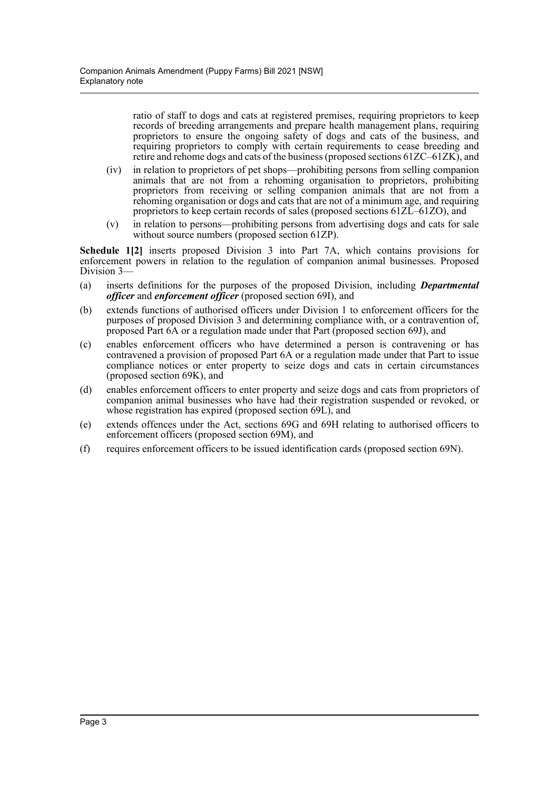ratio of staff to dogs and cats at registered premises, requiring proprietors to keep records of breeding arrangements and prepare health management plans, requiring proprietors to ensure the ongoing safety of dogs and cats of the business, and requiring proprietors to comply with certain requirements to cease breeding and retire and rehome dogs and cats of the business (proposed sections 61ZC–61ZK), and

- (iv) in relation to proprietors of pet shops—prohibiting persons from selling companion animals that are not from a rehoming organisation to proprietors, prohibiting proprietors from receiving or selling companion animals that are not from a rehoming organisation or dogs and cats that are not of a minimum age, and requiring proprietors to keep certain records of sales (proposed sections 61ZL–61ZO), and
- (v) in relation to persons—prohibiting persons from advertising dogs and cats for sale without source numbers (proposed section 61ZP).

**Schedule 1[2]** inserts proposed Division 3 into Part 7A, which contains provisions for enforcement powers in relation to the regulation of companion animal businesses. Proposed Division 3—

- (a) inserts definitions for the purposes of the proposed Division, including *Departmental officer* and *enforcement officer* (proposed section 69I), and
- (b) extends functions of authorised officers under Division 1 to enforcement officers for the purposes of proposed Division 3 and determining compliance with, or a contravention of, proposed Part 6A or a regulation made under that Part (proposed section 69J), and
- (c) enables enforcement officers who have determined a person is contravening or has contravened a provision of proposed Part 6A or a regulation made under that Part to issue compliance notices or enter property to seize dogs and cats in certain circumstances (proposed section 69K), and
- (d) enables enforcement officers to enter property and seize dogs and cats from proprietors of companion animal businesses who have had their registration suspended or revoked, or whose registration has expired (proposed section 69L), and
- (e) extends offences under the Act, sections 69G and 69H relating to authorised officers to enforcement officers (proposed section 69M), and
- (f) requires enforcement officers to be issued identification cards (proposed section 69N).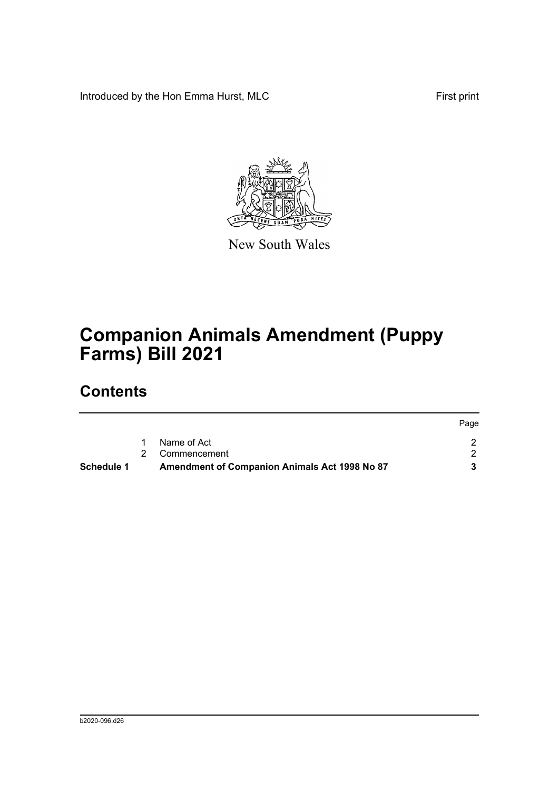Introduced by the Hon Emma Hurst, MLC First print



New South Wales

# **Companion Animals Amendment (Puppy Farms) Bill 2021**

## **Contents**

| Schedule 1 | <b>Amendment of Companion Animals Act 1998 No 87</b> |      |
|------------|------------------------------------------------------|------|
|            | 2 Commencement                                       |      |
|            | Name of Act                                          |      |
|            |                                                      | Page |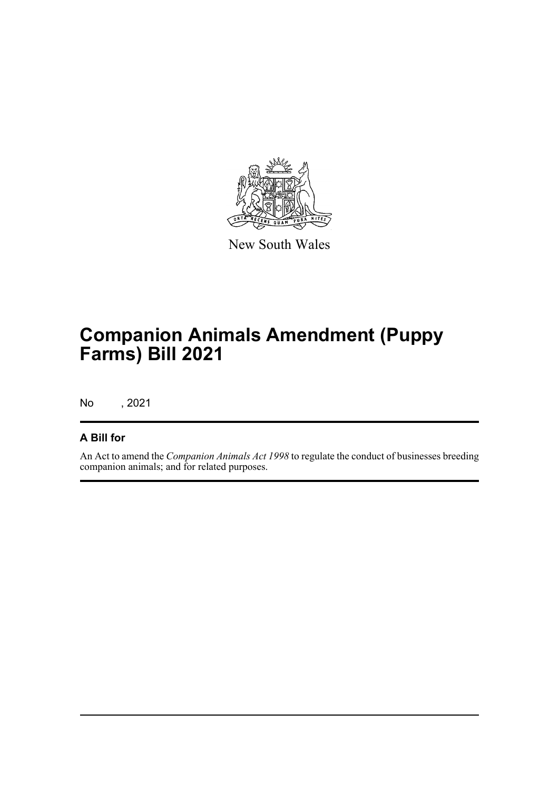

New South Wales

## **Companion Animals Amendment (Puppy Farms) Bill 2021**

No , 2021

## **A Bill for**

An Act to amend the *Companion Animals Act 1998* to regulate the conduct of businesses breeding companion animals; and for related purposes.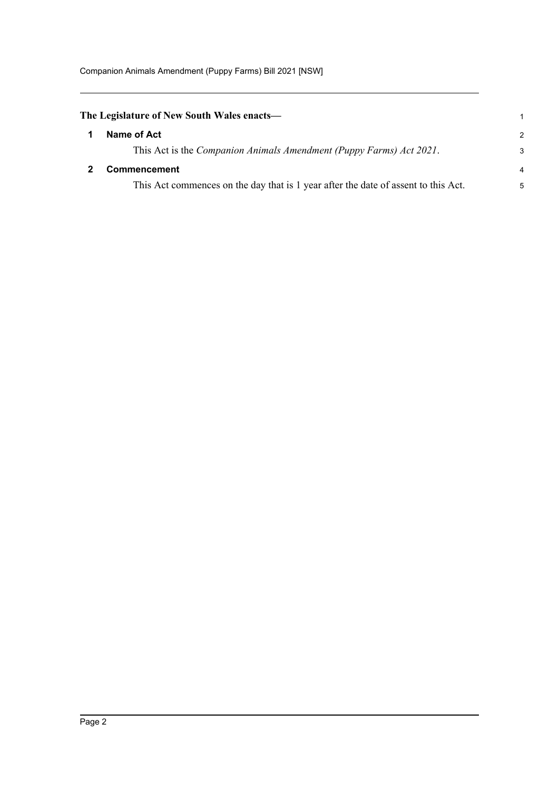<span id="page-5-1"></span><span id="page-5-0"></span>

| The Legislature of New South Wales enacts—                                         | $\mathbf 1$    |
|------------------------------------------------------------------------------------|----------------|
| Name of Act                                                                        | $\mathcal{P}$  |
| This Act is the Companion Animals Amendment (Puppy Farms) Act 2021.                | 3              |
| <b>Commencement</b>                                                                | $\overline{4}$ |
| This Act commences on the day that is 1 year after the date of assent to this Act. | 5              |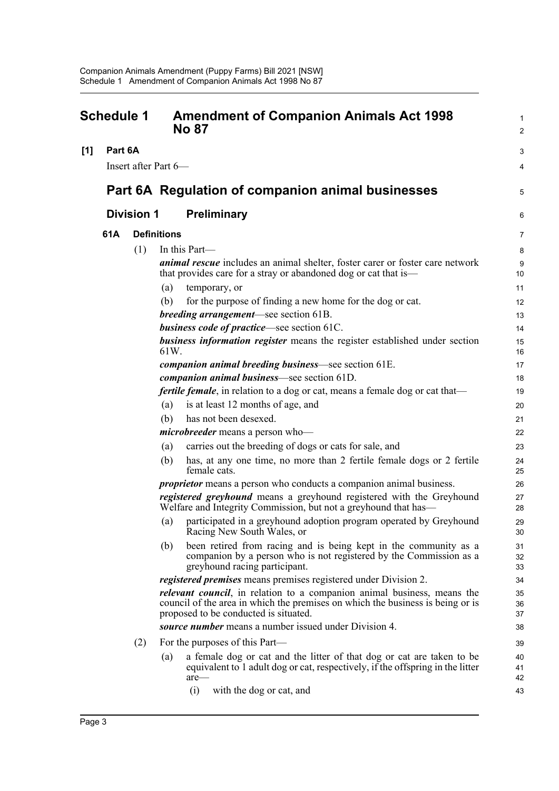<span id="page-6-0"></span>

| <b>Schedule 1</b> |                   |     | <b>Amendment of Companion Animals Act 1998</b><br><b>No 87</b>                                                                                                                                             |                |  |
|-------------------|-------------------|-----|------------------------------------------------------------------------------------------------------------------------------------------------------------------------------------------------------------|----------------|--|
| [1]               | Part 6A           |     |                                                                                                                                                                                                            | 3              |  |
|                   |                   |     | Insert after Part 6-                                                                                                                                                                                       | 4              |  |
|                   |                   |     | Part 6A Regulation of companion animal businesses                                                                                                                                                          | 5              |  |
|                   | <b>Division 1</b> |     | Preliminary                                                                                                                                                                                                | 6              |  |
|                   | 61A               |     | <b>Definitions</b>                                                                                                                                                                                         | 7              |  |
|                   |                   | (1) | In this Part—                                                                                                                                                                                              | 8              |  |
|                   |                   |     | <i>animal rescue</i> includes an animal shelter, foster carer or foster care network<br>that provides care for a stray or abandoned dog or cat that is—                                                    | 9<br>10        |  |
|                   |                   |     | (a)<br>temporary, or                                                                                                                                                                                       | 11             |  |
|                   |                   |     | for the purpose of finding a new home for the dog or cat.<br>(b)                                                                                                                                           | 12             |  |
|                   |                   |     | <i>breeding arrangement</i> —see section 61B.                                                                                                                                                              | 13             |  |
|                   |                   |     | <b>business code of practice</b> —see section 61C.                                                                                                                                                         | 14             |  |
|                   |                   |     | business information register means the register established under section<br>61W.                                                                                                                         | 15<br>16       |  |
|                   |                   |     | companion animal breeding business—see section 61E.                                                                                                                                                        | 17             |  |
|                   |                   |     | companion animal business-see section 61D.                                                                                                                                                                 | 18             |  |
|                   |                   |     | <i>fertile female</i> , in relation to a dog or cat, means a female dog or cat that—                                                                                                                       | 19             |  |
|                   |                   |     | is at least 12 months of age, and<br>(a)                                                                                                                                                                   | 20             |  |
|                   |                   |     | has not been desexed.<br>(b)                                                                                                                                                                               | 21             |  |
|                   |                   |     | <i>microbreeder</i> means a person who-                                                                                                                                                                    | 22             |  |
|                   |                   |     | carries out the breeding of dogs or cats for sale, and<br>(a)                                                                                                                                              | 23             |  |
|                   |                   |     | has, at any one time, no more than 2 fertile female dogs or 2 fertile<br>(b)<br>female cats.                                                                                                               | 24<br>25       |  |
|                   |                   |     | <i>proprietor</i> means a person who conducts a companion animal business.                                                                                                                                 | 26             |  |
|                   |                   |     | registered greyhound means a greyhound registered with the Greyhound<br>Welfare and Integrity Commission, but not a greyhound that has—                                                                    | 27<br>28       |  |
|                   |                   |     | participated in a greyhound adoption program operated by Greyhound<br>(a)<br>Racing New South Wales, or                                                                                                    | 29<br>30       |  |
|                   |                   |     | (b)<br>been retired from racing and is being kept in the community as a<br>companion by a person who is not registered by the Commission as a<br>greyhound racing participant.                             | 31<br>32<br>33 |  |
|                   |                   |     | <i>registered premises</i> means premises registered under Division 2.                                                                                                                                     | 34             |  |
|                   |                   |     | <i>relevant council</i> , in relation to a companion animal business, means the<br>council of the area in which the premises on which the business is being or is<br>proposed to be conducted is situated. | 35<br>36<br>37 |  |
|                   |                   |     | source number means a number issued under Division 4.                                                                                                                                                      | 38             |  |
|                   |                   | (2) | For the purposes of this Part—                                                                                                                                                                             | 39             |  |
|                   |                   |     | a female dog or cat and the litter of that dog or cat are taken to be<br>(a)                                                                                                                               | 40             |  |
|                   |                   |     | equivalent to 1 adult dog or cat, respectively, if the offspring in the litter<br>are-                                                                                                                     | 41<br>42       |  |
|                   |                   |     | (i)<br>with the dog or cat, and                                                                                                                                                                            | 43             |  |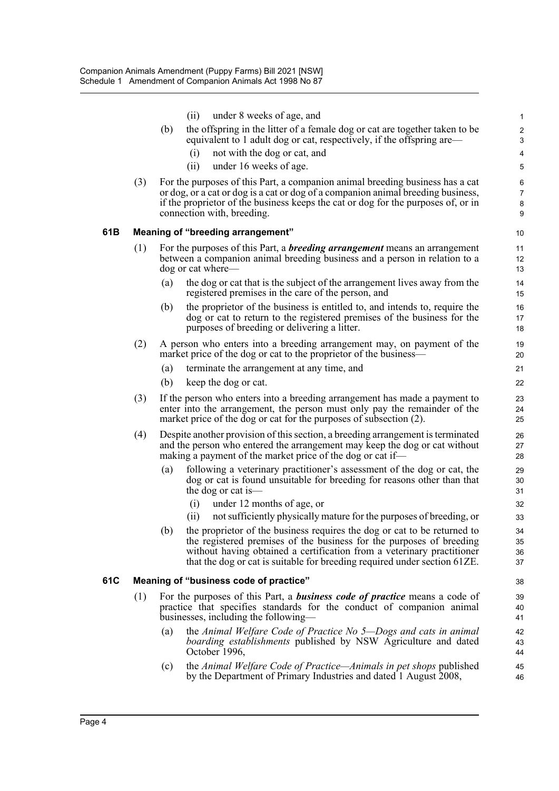|     |     | under 8 weeks of age, and<br>(ii)                                                                                                                                                                                                                                                    | $\mathbf{1}$                  |
|-----|-----|--------------------------------------------------------------------------------------------------------------------------------------------------------------------------------------------------------------------------------------------------------------------------------------|-------------------------------|
|     |     | the offspring in the litter of a female dog or cat are together taken to be<br>(b)                                                                                                                                                                                                   | $\overline{c}$                |
|     |     | equivalent to 1 adult dog or cat, respectively, if the offspring are—                                                                                                                                                                                                                | 3                             |
|     |     | not with the dog or cat, and<br>(i)                                                                                                                                                                                                                                                  | 4                             |
|     |     | (ii)<br>under 16 weeks of age.                                                                                                                                                                                                                                                       | 5                             |
|     | (3) | For the purposes of this Part, a companion animal breeding business has a cat<br>or dog, or a cat or dog is a cat or dog of a companion animal breeding business,<br>if the proprietor of the business keeps the cat or dog for the purposes of, or in<br>connection with, breeding. | 6<br>$\overline{7}$<br>8<br>9 |
| 61B |     | Meaning of "breeding arrangement"                                                                                                                                                                                                                                                    | 10                            |
|     | (1) | For the purposes of this Part, a <b>breeding arrangement</b> means an arrangement<br>between a companion animal breeding business and a person in relation to a<br>dog or cat where—                                                                                                 | 11<br>12<br>13                |
|     |     | the dog or cat that is the subject of the arrangement lives away from the<br>(a)<br>registered premises in the care of the person, and                                                                                                                                               | 14<br>15                      |
|     |     | the proprietor of the business is entitled to, and intends to, require the<br>(b)<br>dog or cat to return to the registered premises of the business for the<br>purposes of breeding or delivering a litter.                                                                         | 16<br>17<br>18                |
|     | (2) | A person who enters into a breeding arrangement may, on payment of the<br>market price of the dog or cat to the proprietor of the business—                                                                                                                                          | 19<br>20                      |
|     |     | (a)<br>terminate the arrangement at any time, and                                                                                                                                                                                                                                    | 21                            |
|     |     | (b)<br>keep the dog or cat.                                                                                                                                                                                                                                                          | 22                            |
|     | (3) | If the person who enters into a breeding arrangement has made a payment to<br>enter into the arrangement, the person must only pay the remainder of the<br>market price of the dog or cat for the purposes of subsection (2).                                                        | 23<br>24<br>25                |
|     | (4) | Despite another provision of this section, a breeding arrangement is terminated<br>and the person who entered the arrangement may keep the dog or cat without<br>making a payment of the market price of the dog or cat if—                                                          | 26<br>27<br>28                |
|     |     | following a veterinary practitioner's assessment of the dog or cat, the<br>(a)<br>dog or cat is found unsuitable for breeding for reasons other than that<br>the dog or cat is—                                                                                                      | 29<br>30<br>31                |
|     |     | (i)<br>under 12 months of age, or                                                                                                                                                                                                                                                    | 32                            |
|     |     | not sufficiently physically mature for the purposes of breeding, or<br>(ii)<br>the proprietor of the business requires the dog or cat to be returned to                                                                                                                              | 33                            |
|     |     | (b)<br>the registered premises of the business for the purposes of breeding<br>without having obtained a certification from a veterinary practitioner                                                                                                                                | 34<br>35<br>36                |
|     |     | that the dog or cat is suitable for breeding required under section 61ZE.                                                                                                                                                                                                            | 37                            |
| 61C |     | Meaning of "business code of practice"                                                                                                                                                                                                                                               | 38                            |
|     | (1) | For the purposes of this Part, a <b>business code of practice</b> means a code of<br>practice that specifies standards for the conduct of companion animal<br>businesses, including the following—                                                                                   | 39<br>40<br>41                |
|     |     | the Animal Welfare Code of Practice No 5-Dogs and cats in animal<br>(a)<br><i>boarding establishments</i> published by NSW Agriculture and dated<br>October 1996,                                                                                                                    | 42<br>43<br>44                |
|     |     | the Animal Welfare Code of Practice—Animals in pet shops published<br>(c)<br>by the Department of Primary Industries and dated 1 August 2008,                                                                                                                                        | 45<br>46                      |
|     |     |                                                                                                                                                                                                                                                                                      |                               |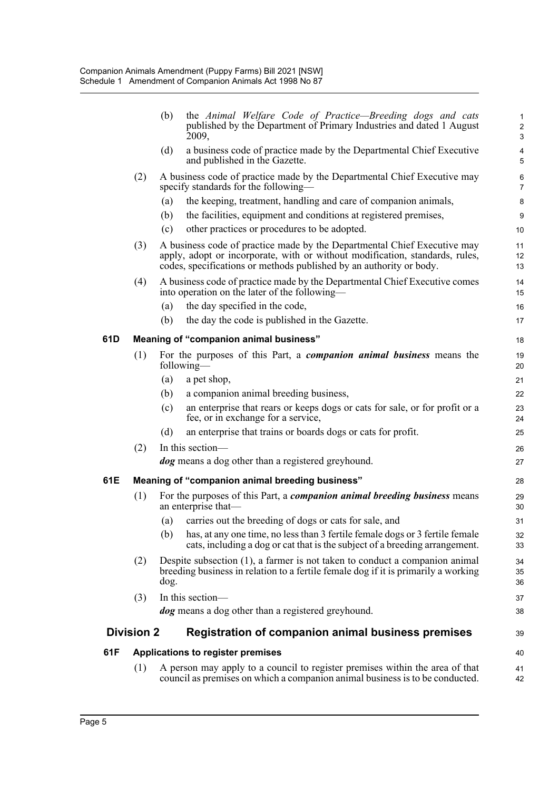|     |                   | (b)  | the Animal Welfare Code of Practice—Breeding dogs and cats<br>published by the Department of Primary Industries and dated 1 August<br>2009,                                                                                     | $\mathbf 1$<br>$\boldsymbol{2}$<br>$\mathsf 3$ |
|-----|-------------------|------|---------------------------------------------------------------------------------------------------------------------------------------------------------------------------------------------------------------------------------|------------------------------------------------|
|     |                   | (d)  | a business code of practice made by the Departmental Chief Executive<br>and published in the Gazette.                                                                                                                           | $\overline{\mathbf{4}}$<br>5                   |
|     | (2)               |      | A business code of practice made by the Departmental Chief Executive may<br>specify standards for the following—                                                                                                                | $\,6\,$<br>$\overline{7}$                      |
|     |                   | (a)  | the keeping, treatment, handling and care of companion animals,                                                                                                                                                                 | 8                                              |
|     |                   | (b)  | the facilities, equipment and conditions at registered premises,                                                                                                                                                                | 9                                              |
|     |                   | (c)  | other practices or procedures to be adopted.                                                                                                                                                                                    | 10                                             |
|     | (3)               |      | A business code of practice made by the Departmental Chief Executive may<br>apply, adopt or incorporate, with or without modification, standards, rules,<br>codes, specifications or methods published by an authority or body. | 11<br>12<br>13                                 |
|     | (4)               |      | A business code of practice made by the Departmental Chief Executive comes<br>into operation on the later of the following—                                                                                                     | 14<br>15                                       |
|     |                   | (a)  | the day specified in the code,                                                                                                                                                                                                  | 16                                             |
|     |                   | (b)  | the day the code is published in the Gazette.                                                                                                                                                                                   | 17                                             |
| 61D |                   |      | Meaning of "companion animal business"                                                                                                                                                                                          | 18                                             |
|     | (1)               |      | For the purposes of this Part, a <i>companion animal business</i> means the<br>following-                                                                                                                                       | 19<br>20                                       |
|     |                   | (a)  | a pet shop,                                                                                                                                                                                                                     | 21                                             |
|     |                   | (b)  | a companion animal breeding business,                                                                                                                                                                                           | 22                                             |
|     |                   | (c)  | an enterprise that rears or keeps dogs or cats for sale, or for profit or a<br>fee, or in exchange for a service,                                                                                                               | 23<br>24                                       |
|     |                   | (d)  | an enterprise that trains or boards dogs or cats for profit.                                                                                                                                                                    | 25                                             |
|     | (2)               |      | In this section-                                                                                                                                                                                                                | 26                                             |
|     |                   |      | <i>dog</i> means a dog other than a registered greyhound.                                                                                                                                                                       | 27                                             |
| 61E |                   |      | Meaning of "companion animal breeding business"                                                                                                                                                                                 | 28                                             |
|     | (1)               |      | For the purposes of this Part, a <i>companion animal breeding business</i> means<br>an enterprise that—                                                                                                                         | 29<br>30                                       |
|     |                   | (a)  | carries out the breeding of dogs or cats for sale, and                                                                                                                                                                          | 31                                             |
|     |                   | (b)  | has, at any one time, no less than 3 fertile female dogs or 3 fertile female<br>cats, including a dog or cat that is the subject of a breeding arrangement.                                                                     | 32<br>33                                       |
|     | (2)               | dog. | Despite subsection $(1)$ , a farmer is not taken to conduct a companion animal<br>breeding business in relation to a fertile female dog if it is primarily a working                                                            | 34<br>35<br>36                                 |
|     | (3)               |      | In this section-                                                                                                                                                                                                                | 37                                             |
|     |                   |      | <i>dog</i> means a dog other than a registered greyhound.                                                                                                                                                                       | 38                                             |
|     | <b>Division 2</b> |      | Registration of companion animal business premises                                                                                                                                                                              | 39                                             |
| 61F |                   |      | Applications to register premises                                                                                                                                                                                               | 40                                             |
|     | (1)               |      | A person may apply to a council to register premises within the area of that<br>council as premises on which a companion animal business is to be conducted.                                                                    | 41<br>42                                       |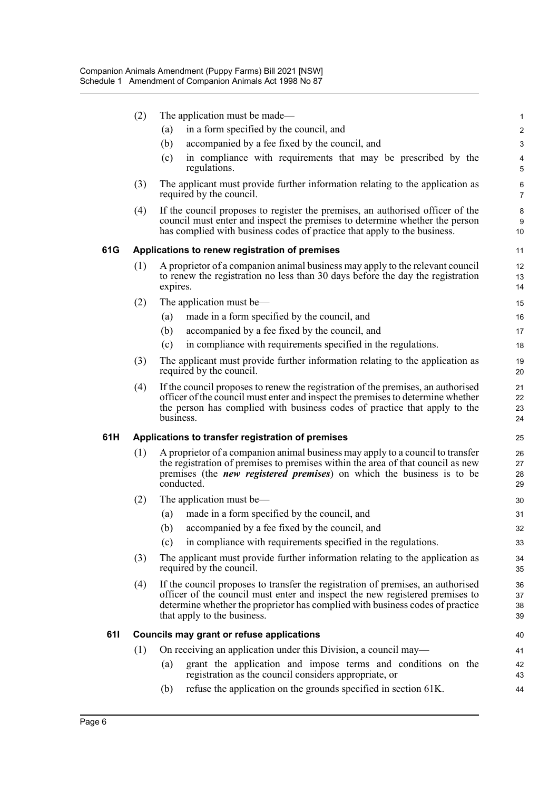|     | (2) |           | The application must be made—                                                                                                                                                                                                                                                   | $\mathbf{1}$         |
|-----|-----|-----------|---------------------------------------------------------------------------------------------------------------------------------------------------------------------------------------------------------------------------------------------------------------------------------|----------------------|
|     |     | (a)       | in a form specified by the council, and                                                                                                                                                                                                                                         | $\boldsymbol{2}$     |
|     |     | (b)       | accompanied by a fee fixed by the council, and                                                                                                                                                                                                                                  | $\mathbf{3}$         |
|     |     | (c)       | in compliance with requirements that may be prescribed by the<br>regulations.                                                                                                                                                                                                   | 4<br>5               |
|     | (3) |           | The applicant must provide further information relating to the application as<br>required by the council.                                                                                                                                                                       | 6<br>$\overline{7}$  |
|     | (4) |           | If the council proposes to register the premises, an authorised officer of the<br>council must enter and inspect the premises to determine whether the person<br>has complied with business codes of practice that apply to the business.                                       | 8<br>9<br>10         |
| 61G |     |           | Applications to renew registration of premises                                                                                                                                                                                                                                  | 11                   |
|     | (1) | expires.  | A proprietor of a companion animal business may apply to the relevant council<br>to renew the registration no less than 30 days before the day the registration                                                                                                                 | 12<br>13<br>14       |
|     | (2) |           | The application must be—                                                                                                                                                                                                                                                        | 15                   |
|     |     | (a)       | made in a form specified by the council, and                                                                                                                                                                                                                                    | 16                   |
|     |     | (b)       | accompanied by a fee fixed by the council, and                                                                                                                                                                                                                                  | 17                   |
|     |     | (c)       | in compliance with requirements specified in the regulations.                                                                                                                                                                                                                   | 18                   |
|     | (3) |           | The applicant must provide further information relating to the application as<br>required by the council.                                                                                                                                                                       | 19<br>20             |
|     | (4) | business. | If the council proposes to renew the registration of the premises, an authorised<br>officer of the council must enter and inspect the premises to determine whether<br>the person has complied with business codes of practice that apply to the                                | 21<br>22<br>23<br>24 |
| 61H |     |           | Applications to transfer registration of premises                                                                                                                                                                                                                               | 25                   |
|     | (1) |           | A proprietor of a companion animal business may apply to a council to transfer<br>the registration of premises to premises within the area of that council as new<br>premises (the <i>new registered premises</i> ) on which the business is to be<br>conducted.                | 26<br>27<br>28<br>29 |
|     | (2) |           | The application must be—                                                                                                                                                                                                                                                        | 30                   |
|     |     | (a)       | made in a form specified by the council, and                                                                                                                                                                                                                                    | 31                   |
|     |     |           | (b) accompanied by a fee fixed by the council, and                                                                                                                                                                                                                              | 32                   |
|     |     | (c)       | in compliance with requirements specified in the regulations.                                                                                                                                                                                                                   | 33                   |
|     | (3) |           | The applicant must provide further information relating to the application as<br>required by the council.                                                                                                                                                                       | 34<br>35             |
|     | (4) |           | If the council proposes to transfer the registration of premises, an authorised<br>officer of the council must enter and inspect the new registered premises to<br>determine whether the proprietor has complied with business codes of practice<br>that apply to the business. | 36<br>37<br>38<br>39 |
| 611 |     |           | Councils may grant or refuse applications                                                                                                                                                                                                                                       | 40                   |
|     | (1) |           | On receiving an application under this Division, a council may—                                                                                                                                                                                                                 | 41                   |
|     |     | (a)       | grant the application and impose terms and conditions on the<br>registration as the council considers appropriate, or                                                                                                                                                           | 42<br>43             |
|     |     | (b)       | refuse the application on the grounds specified in section 61K.                                                                                                                                                                                                                 | 44                   |
|     |     |           |                                                                                                                                                                                                                                                                                 |                      |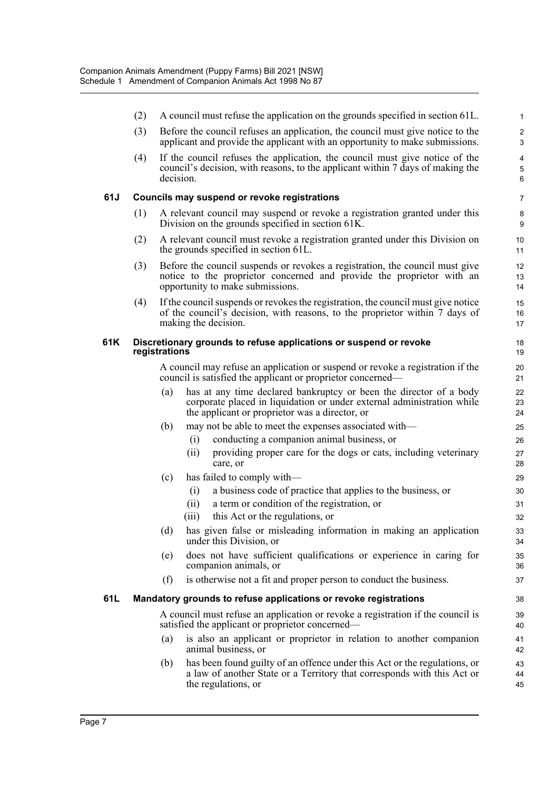|     | (2) | A council must refuse the application on the grounds specified in section 61L.                                                                                                                        | 1                   |
|-----|-----|-------------------------------------------------------------------------------------------------------------------------------------------------------------------------------------------------------|---------------------|
|     | (3) | Before the council refuses an application, the council must give notice to the<br>applicant and provide the applicant with an opportunity to make submissions.                                        | $\overline{c}$<br>3 |
|     | (4) | If the council refuses the application, the council must give notice of the<br>council's decision, with reasons, to the applicant within 7 days of making the<br>decision.                            | 4<br>5<br>6         |
| 61J |     | Councils may suspend or revoke registrations                                                                                                                                                          | $\overline{7}$      |
|     | (1) | A relevant council may suspend or revoke a registration granted under this<br>Division on the grounds specified in section 61K.                                                                       | 8<br>9              |
|     | (2) | A relevant council must revoke a registration granted under this Division on<br>the grounds specified in section 61L.                                                                                 | 10<br>11            |
|     | (3) | Before the council suspends or revokes a registration, the council must give<br>notice to the proprietor concerned and provide the proprietor with an<br>opportunity to make submissions.             | 12<br>13<br>14      |
|     | (4) | If the council suspends or revokes the registration, the council must give notice<br>of the council's decision, with reasons, to the proprietor within 7 days of<br>making the decision.              | 15<br>16<br>17      |
| 61K |     | Discretionary grounds to refuse applications or suspend or revoke<br>registrations                                                                                                                    | 18<br>19            |
|     |     | A council may refuse an application or suspend or revoke a registration if the<br>council is satisfied the applicant or proprietor concerned—                                                         | 20<br>21            |
|     |     | has at any time declared bankruptcy or been the director of a body<br>(a)<br>corporate placed in liquidation or under external administration while<br>the applicant or proprietor was a director, or | 22<br>23<br>24      |
|     |     | (b)<br>may not be able to meet the expenses associated with-                                                                                                                                          | 25                  |
|     |     | conducting a companion animal business, or<br>(i)                                                                                                                                                     | 26                  |
|     |     | providing proper care for the dogs or cats, including veterinary<br>(ii)<br>care, or                                                                                                                  | 27<br>28            |
|     |     | (c)<br>has failed to comply with—                                                                                                                                                                     | 29                  |
|     |     | (i)<br>a business code of practice that applies to the business, or                                                                                                                                   | 30                  |
|     |     | a term or condition of the registration, or<br>(ii)                                                                                                                                                   | 31                  |
|     |     | (iii)<br>this Act or the regulations, or                                                                                                                                                              | 32                  |
|     |     | has given false or misleading information in making an application<br>(d)<br>under this Division, or                                                                                                  | 33<br>34            |
|     |     | does not have sufficient qualifications or experience in caring for<br>(e)<br>companion animals, or                                                                                                   | 35<br>36            |
|     |     | is otherwise not a fit and proper person to conduct the business.<br>(f)                                                                                                                              | 37                  |
| 61L |     | Mandatory grounds to refuse applications or revoke registrations                                                                                                                                      | 38                  |
|     |     | A council must refuse an application or revoke a registration if the council is<br>satisfied the applicant or proprietor concerned—                                                                   | 39<br>40            |
|     |     | is also an applicant or proprietor in relation to another companion<br>(a)<br>animal business, or                                                                                                     | 41<br>42            |
|     |     | has been found guilty of an offence under this Act or the regulations, or<br>(b)<br>a law of another State or a Territory that corresponds with this Act or<br>the regulations, or                    | 43<br>44<br>45      |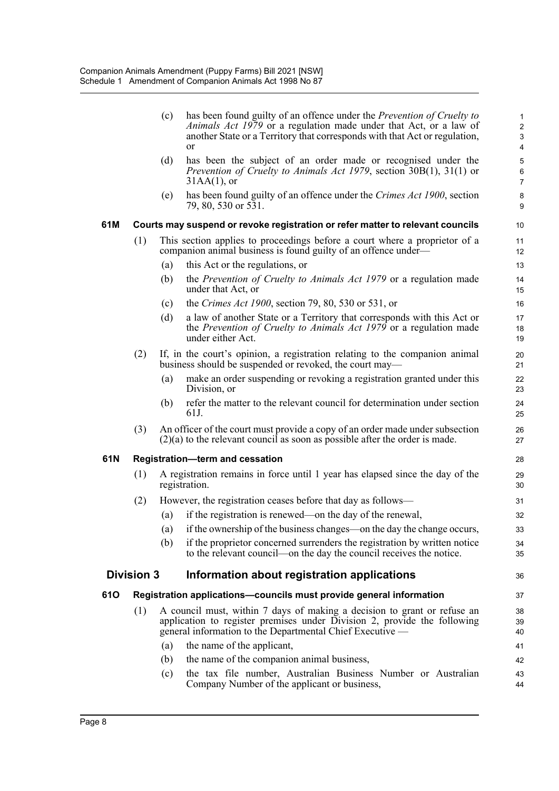|     |                   | (c) | has been found guilty of an offence under the <i>Prevention of Cruelty to</i><br><i>Animals Act 1979</i> or a regulation made under that Act, or a law of<br>another State or a Territory that corresponds with that Act or regulation,<br><sub>or</sub> | $\mathbf 1$<br>$\sqrt{2}$<br>3<br>4      |
|-----|-------------------|-----|----------------------------------------------------------------------------------------------------------------------------------------------------------------------------------------------------------------------------------------------------------|------------------------------------------|
|     |                   | (d) | has been the subject of an order made or recognised under the<br><i>Prevention of Cruelty to Animals Act 1979</i> , section 30B(1), 31(1) or<br>$31AA(1)$ , or                                                                                           | $\mathbf 5$<br>$\,6\,$<br>$\overline{7}$ |
|     |                   | (e) | has been found guilty of an offence under the Crimes Act 1900, section<br>79, 80, 530 or 531.                                                                                                                                                            | $\bf 8$<br>9                             |
| 61M |                   |     | Courts may suspend or revoke registration or refer matter to relevant councils                                                                                                                                                                           | 10                                       |
|     | (1)               |     | This section applies to proceedings before a court where a proprietor of a<br>companion animal business is found guilty of an offence under—                                                                                                             | 11<br>12                                 |
|     |                   | (a) | this Act or the regulations, or                                                                                                                                                                                                                          | 13                                       |
|     |                   | (b) | the Prevention of Cruelty to Animals Act 1979 or a regulation made<br>under that Act, or                                                                                                                                                                 | 14<br>15                                 |
|     |                   | (c) | the Crimes Act 1900, section 79, 80, 530 or 531, or                                                                                                                                                                                                      | 16                                       |
|     |                   | (d) | a law of another State or a Territory that corresponds with this Act or<br>the Prevention of Cruelty to Animals Act 1979 or a regulation made<br>under either Act.                                                                                       | 17<br>18<br>19                           |
|     | (2)               |     | If, in the court's opinion, a registration relating to the companion animal<br>business should be suspended or revoked, the court may—                                                                                                                   | 20<br>21                                 |
|     |                   | (a) | make an order suspending or revoking a registration granted under this<br>Division, or                                                                                                                                                                   | 22<br>23                                 |
|     |                   | (b) | refer the matter to the relevant council for determination under section<br>61J.                                                                                                                                                                         | 24<br>25                                 |
|     | (3)               |     | An officer of the court must provide a copy of an order made under subsection<br>$(2)(a)$ to the relevant council as soon as possible after the order is made.                                                                                           | 26<br>27                                 |
| 61N |                   |     | <b>Registration-term and cessation</b>                                                                                                                                                                                                                   | 28                                       |
|     | (1)               |     | A registration remains in force until 1 year has elapsed since the day of the<br>registration.                                                                                                                                                           | 29<br>30                                 |
|     | (2)               |     | However, the registration ceases before that day as follows—                                                                                                                                                                                             | 31                                       |
|     |                   | (a) | if the registration is renewed—on the day of the renewal,                                                                                                                                                                                                | 32                                       |
|     |                   | (a) | if the ownership of the business changes—on the day the change occurs,                                                                                                                                                                                   | 33                                       |
|     |                   | (b) | if the proprietor concerned surrenders the registration by written notice<br>to the relevant council—on the day the council receives the notice.                                                                                                         | 34<br>35                                 |
|     | <b>Division 3</b> |     | Information about registration applications                                                                                                                                                                                                              | 36                                       |
| 610 |                   |     | Registration applications-councils must provide general information                                                                                                                                                                                      | 37                                       |
|     | (1)               |     | A council must, within 7 days of making a decision to grant or refuse an<br>application to register premises under Division 2, provide the following<br>general information to the Departmental Chief Executive —                                        | 38<br>39<br>40                           |
|     |                   | (a) | the name of the applicant,                                                                                                                                                                                                                               | 41                                       |
|     |                   | (b) | the name of the companion animal business,                                                                                                                                                                                                               | 42                                       |
|     |                   | (c) | the tax file number, Australian Business Number or Australian<br>Company Number of the applicant or business,                                                                                                                                            | 43<br>44                                 |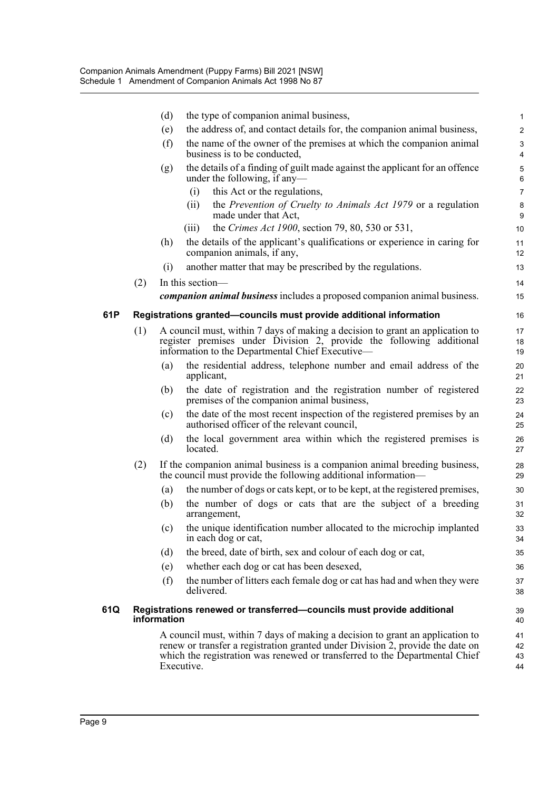|     |     | (d)         | the type of companion animal business,                                                                                                                                                                    | 1                      |
|-----|-----|-------------|-----------------------------------------------------------------------------------------------------------------------------------------------------------------------------------------------------------|------------------------|
|     |     | (e)         | the address of, and contact details for, the companion animal business,                                                                                                                                   | $\overline{c}$         |
|     |     | (f)         | the name of the owner of the premises at which the companion animal<br>business is to be conducted,                                                                                                       | 3<br>$\overline{4}$    |
|     |     | (g)         | the details of a finding of guilt made against the applicant for an offence<br>under the following, if any—                                                                                               | $\mathbf 5$<br>$\,6\,$ |
|     |     |             | this Act or the regulations,<br>(i)                                                                                                                                                                       | $\overline{7}$         |
|     |     |             | the Prevention of Cruelty to Animals Act 1979 or a regulation<br>(ii)<br>made under that Act,                                                                                                             | 8<br>9                 |
|     |     |             | the Crimes Act 1900, section 79, 80, 530 or 531,<br>(iii)                                                                                                                                                 | 10                     |
|     |     | (h)         | the details of the applicant's qualifications or experience in caring for<br>companion animals, if any,                                                                                                   | 11<br>12               |
|     |     | (i)         | another matter that may be prescribed by the regulations.                                                                                                                                                 | 13                     |
|     | (2) |             | In this section—                                                                                                                                                                                          | 14                     |
|     |     |             | companion animal business includes a proposed companion animal business.                                                                                                                                  | 15                     |
| 61P |     |             | Registrations granted-councils must provide additional information                                                                                                                                        | 16                     |
|     | (1) |             | A council must, within 7 days of making a decision to grant an application to<br>register premises under Division 2, provide the following additional<br>information to the Departmental Chief Executive— | 17<br>18<br>19         |
|     |     | (a)         | the residential address, telephone number and email address of the<br>applicant,                                                                                                                          | 20<br>21               |
|     |     | (b)         | the date of registration and the registration number of registered<br>premises of the companion animal business,                                                                                          | 22<br>23               |
|     |     | (c)         | the date of the most recent inspection of the registered premises by an<br>authorised officer of the relevant council,                                                                                    | 24<br>25               |
|     |     | (d)         | the local government area within which the registered premises is<br>located.                                                                                                                             | 26<br>27               |
|     | (2) |             | If the companion animal business is a companion animal breeding business,<br>the council must provide the following additional information—                                                               | 28<br>29               |
|     |     | (a)         | the number of dogs or cats kept, or to be kept, at the registered premises,                                                                                                                               | 30                     |
|     |     | (b)         | the number of dogs or cats that are the subject of a breeding<br>arrangement,                                                                                                                             | 31<br>32               |
|     |     | (c)         | the unique identification number allocated to the microchip implanted<br>in each dog or cat,                                                                                                              | 33<br>34               |
|     |     | (d)         | the breed, date of birth, sex and colour of each dog or cat,                                                                                                                                              | 35                     |
|     |     | (e)         | whether each dog or cat has been desexed,                                                                                                                                                                 | 36                     |
|     |     | (f)         | the number of litters each female dog or cat has had and when they were<br>delivered.                                                                                                                     | 37<br>38               |
| 61Q |     | information | Registrations renewed or transferred-councils must provide additional                                                                                                                                     | 39<br>40               |
|     |     |             | A council must, within 7 days of making a decision to grant an application to                                                                                                                             | 41                     |
|     |     |             | renew or transfer a registration granted under Division 2, provide the date on<br>which the registration was renewed or transferred to the Departmental Chief                                             | 42<br>43               |
|     |     |             | Executive.                                                                                                                                                                                                | 44                     |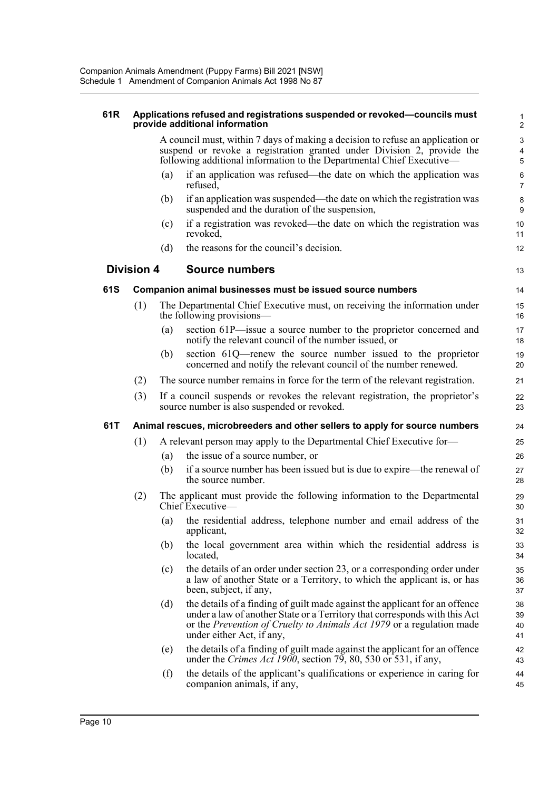#### **61R Applications refused and registrations suspended or revoked—councils must provide additional information**

A council must, within 7 days of making a decision to refuse an application or suspend or revoke a registration granted under Division 2, provide the following additional information to the Departmental Chief Executive—

13

- (a) if an application was refused—the date on which the application was refused,
- (b) if an application was suspended—the date on which the registration was suspended and the duration of the suspension,
- (c) if a registration was revoked—the date on which the registration was revoked,
- (d) the reasons for the council's decision.

### **Division 4 Source numbers**

### **61S Companion animal businesses must be issued source numbers**

- (1) The Departmental Chief Executive must, on receiving the information under the following provisions—
	- (a) section 61P—issue a source number to the proprietor concerned and notify the relevant council of the number issued, or
	- (b) section 61Q—renew the source number issued to the proprietor concerned and notify the relevant council of the number renewed.
- (2) The source number remains in force for the term of the relevant registration.
- (3) If a council suspends or revokes the relevant registration, the proprietor's source number is also suspended or revoked.

### **61T Animal rescues, microbreeders and other sellers to apply for source numbers**

- (1) A relevant person may apply to the Departmental Chief Executive for—
	- (a) the issue of a source number, or
	- (b) if a source number has been issued but is due to expire—the renewal of the source number.
- (2) The applicant must provide the following information to the Departmental Chief Executive—
	- (a) the residential address, telephone number and email address of the applicant,
	- (b) the local government area within which the residential address is located,
	- (c) the details of an order under section 23, or a corresponding order under a law of another State or a Territory, to which the applicant is, or has been, subject, if any,
	- (d) the details of a finding of guilt made against the applicant for an offence under a law of another State or a Territory that corresponds with this Act or the *Prevention of Cruelty to Animals Act 1979* or a regulation made under either Act, if any,
	- (e) the details of a finding of guilt made against the applicant for an offence under the *Crimes Act 1900*, section 79, 80, 530 or 531, if any,
	- (f) the details of the applicant's qualifications or experience in caring for companion animals, if any,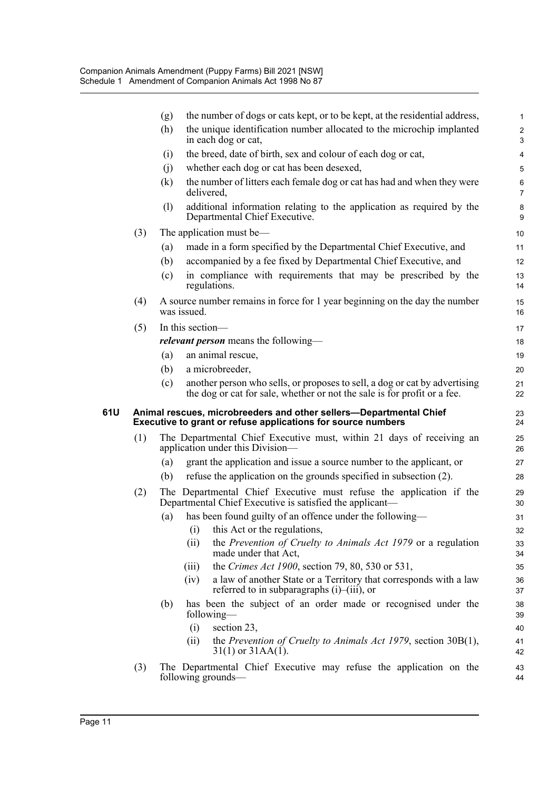|     |     | (g) | the number of dogs or cats kept, or to be kept, at the residential address,                                                                                               | $\mathbf{1}$              |
|-----|-----|-----|---------------------------------------------------------------------------------------------------------------------------------------------------------------------------|---------------------------|
|     |     | (h) | the unique identification number allocated to the microchip implanted<br>in each dog or cat,                                                                              | $\overline{c}$<br>3       |
|     |     | (i) | the breed, date of birth, sex and colour of each dog or cat,                                                                                                              | $\overline{\mathbf{4}}$   |
|     |     | (i) | whether each dog or cat has been desexed,                                                                                                                                 | 5                         |
|     |     | (k) | the number of litters each female dog or cat has had and when they were<br>delivered,                                                                                     | $\,6\,$<br>$\overline{7}$ |
|     |     | (1) | additional information relating to the application as required by the<br>Departmental Chief Executive.                                                                    | 8<br>9                    |
|     | (3) |     | The application must be-                                                                                                                                                  | 10                        |
|     |     | (a) | made in a form specified by the Departmental Chief Executive, and                                                                                                         | 11                        |
|     |     | (b) | accompanied by a fee fixed by Departmental Chief Executive, and                                                                                                           | 12                        |
|     |     | (c) | in compliance with requirements that may be prescribed by the<br>regulations.                                                                                             | 13<br>14                  |
|     | (4) |     | A source number remains in force for 1 year beginning on the day the number<br>was issued.                                                                                | 15<br>16                  |
|     | (5) |     | In this section-                                                                                                                                                          | 17                        |
|     |     |     | <i>relevant person</i> means the following—                                                                                                                               | 18                        |
|     |     | (a) | an animal rescue,                                                                                                                                                         | 19                        |
|     |     | (b) | a microbreeder,                                                                                                                                                           | 20                        |
|     |     | (c) | another person who sells, or proposes to sell, a dog or cat by advertising<br>the dog or cat for sale, whether or not the sale is for profit or a fee.                    | 21<br>22                  |
| 61U |     |     | Animal rescues, microbreeders and other sellers-Departmental Chief<br>Executive to grant or refuse applications for source numbers                                        | 23<br>24                  |
|     | (1) |     | The Departmental Chief Executive must, within 21 days of receiving an<br>application under this Division—                                                                 | 25<br>26                  |
|     |     | (a) | grant the application and issue a source number to the applicant, or                                                                                                      | 27                        |
|     |     | (b) | refuse the application on the grounds specified in subsection (2).                                                                                                        | 28                        |
|     | (2) |     | The Departmental Chief Executive must refuse the application if the<br>Departmental Chief Executive is satisfied the applicant-                                           | 29<br>30                  |
|     |     | (a) | has been found guilty of an offence under the following-                                                                                                                  | 31                        |
|     |     |     | this Act or the regulations,<br>$\left( 1\right)$                                                                                                                         | 32                        |
|     |     |     | the Prevention of Cruelty to Animals Act 1979 or a regulation<br>(ii)<br>made under that Act,                                                                             | 33<br>34                  |
|     |     |     | the Crimes Act 1900, section 79, 80, 530 or 531,<br>(iii)                                                                                                                 | 35                        |
|     |     |     | (iv)<br>a law of another State or a Territory that corresponds with a law<br>referred to in subparagraphs $(i)$ – $(iii)$ , or                                            | 36<br>37                  |
|     |     | (b) | has been the subject of an order made or recognised under the<br>following—                                                                                               | 38<br>39                  |
|     |     |     |                                                                                                                                                                           |                           |
|     |     |     | (i)<br>section 23,                                                                                                                                                        | 40                        |
|     |     |     | the Prevention of Cruelty to Animals Act 1979, section $30B(1)$ ,<br>(ii)<br>$31(1)$ or $31AA(1)$ .<br>The Departmental Chief Executive may refuse the application on the | 41<br>42                  |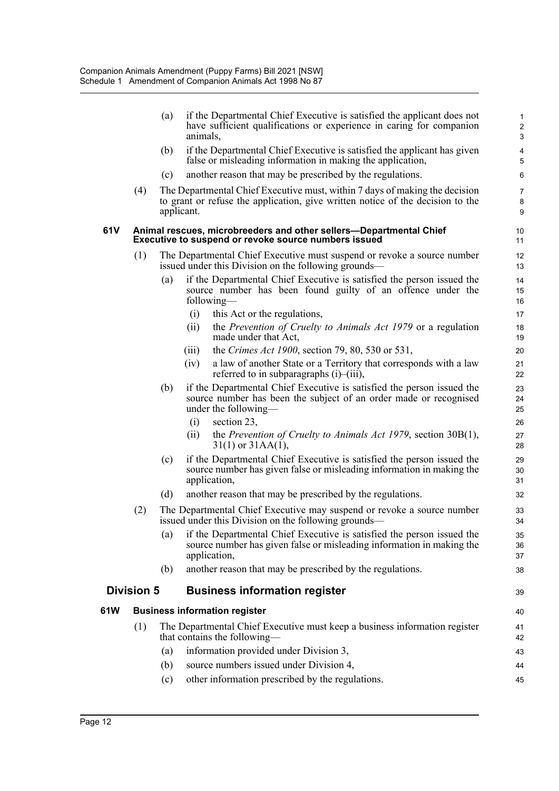|      |                   | (a) | if the Departmental Chief Executive is satisfied the applicant does not<br>have sufficient qualifications or experience in caring for companion<br>animals,                 | $\mathbf{1}$<br>$\overline{c}$<br>3 |
|------|-------------------|-----|-----------------------------------------------------------------------------------------------------------------------------------------------------------------------------|-------------------------------------|
|      |                   | (b) | if the Departmental Chief Executive is satisfied the applicant has given<br>false or misleading information in making the application,                                      | $\overline{4}$<br>$\sqrt{5}$        |
|      |                   | (c) | another reason that may be prescribed by the regulations.                                                                                                                   | 6                                   |
|      | (4)               |     | The Departmental Chief Executive must, within 7 days of making the decision<br>to grant or refuse the application, give written notice of the decision to the<br>applicant. | $\overline{7}$<br>$\bf 8$<br>9      |
| 61 V |                   |     | Animal rescues, microbreeders and other sellers-Departmental Chief<br>Executive to suspend or revoke source numbers issued                                                  | 10<br>11                            |
|      | (1)               |     | The Departmental Chief Executive must suspend or revoke a source number<br>issued under this Division on the following grounds—                                             | 12<br>13                            |
|      |                   | (a) | if the Departmental Chief Executive is satisfied the person issued the<br>source number has been found guilty of an offence under the<br>following—                         | 14<br>15<br>16                      |
|      |                   |     | (i)<br>this Act or the regulations,                                                                                                                                         | 17                                  |
|      |                   |     | the Prevention of Cruelty to Animals Act 1979 or a regulation<br>(i)<br>made under that Act,                                                                                | 18<br>19                            |
|      |                   |     | the Crimes Act 1900, section 79, 80, 530 or 531,<br>(iii)                                                                                                                   | 20                                  |
|      |                   |     | a law of another State or a Territory that corresponds with a law<br>(iv)<br>referred to in subparagraphs $(i)$ – $(iii)$ ,                                                 | 21<br>22                            |
|      |                   | (b) | if the Departmental Chief Executive is satisfied the person issued the<br>source number has been the subject of an order made or recognised<br>under the following—         | 23<br>24<br>25                      |
|      |                   |     | section 23,<br>(i)<br>the Prevention of Cruelty to Animals Act 1979, section $30B(1)$ ,<br>(ii)<br>$31(1)$ or $31AA(1)$ ,                                                   | 26<br>27<br>28                      |
|      |                   | (c) | if the Departmental Chief Executive is satisfied the person issued the<br>source number has given false or misleading information in making the<br>application,             | 29<br>30<br>31                      |
|      |                   | (d) | another reason that may be prescribed by the regulations.                                                                                                                   | 32                                  |
|      | (2)               |     | The Departmental Chief Executive may suspend or revoke a source number<br>issued under this Division on the following grounds—                                              | 33<br>34                            |
|      |                   | (a) | if the Departmental Chief Executive is satisfied the person issued the<br>source number has given false or misleading information in making the<br>application,             | 35<br>36<br>37                      |
|      |                   | (b) | another reason that may be prescribed by the regulations.                                                                                                                   | 38                                  |
|      | <b>Division 5</b> |     | <b>Business information register</b>                                                                                                                                        | 39                                  |
| 61W  |                   |     | <b>Business information register</b>                                                                                                                                        | 40                                  |
|      | (1)               |     | The Departmental Chief Executive must keep a business information register<br>that contains the following—                                                                  | 41<br>42                            |
|      |                   | (a) | information provided under Division 3,                                                                                                                                      | 43                                  |
|      |                   | (b) | source numbers issued under Division 4,                                                                                                                                     | 44                                  |
|      |                   | (c) | other information prescribed by the regulations.                                                                                                                            | 45                                  |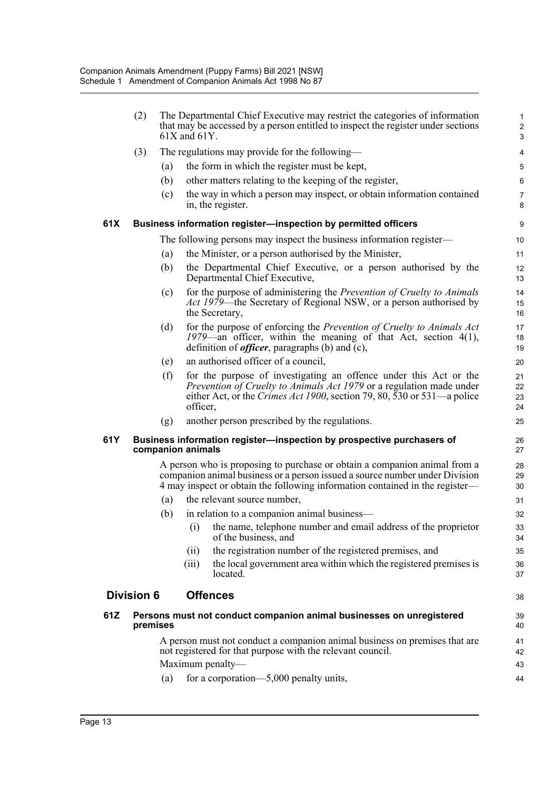|      | (2)               |          | The Departmental Chief Executive may restrict the categories of information<br>that may be accessed by a person entitled to inspect the register under sections<br>$61X$ and $61Y$ .                                                     | $\mathbf{1}$<br>$\overline{2}$<br>3 |
|------|-------------------|----------|------------------------------------------------------------------------------------------------------------------------------------------------------------------------------------------------------------------------------------------|-------------------------------------|
|      | (3)               |          | The regulations may provide for the following—                                                                                                                                                                                           | 4                                   |
|      |                   | (a)      | the form in which the register must be kept,                                                                                                                                                                                             | 5                                   |
|      |                   | (b)      | other matters relating to the keeping of the register,                                                                                                                                                                                   | 6                                   |
|      |                   | (c)      | the way in which a person may inspect, or obtain information contained<br>in, the register.                                                                                                                                              | $\overline{7}$<br>8                 |
| 61X  |                   |          | Business information register-inspection by permitted officers                                                                                                                                                                           | 9                                   |
|      |                   |          | The following persons may inspect the business information register—                                                                                                                                                                     | 10                                  |
|      |                   | (a)      | the Minister, or a person authorised by the Minister,                                                                                                                                                                                    | 11                                  |
|      |                   | (b)      | the Departmental Chief Executive, or a person authorised by the<br>Departmental Chief Executive,                                                                                                                                         | 12<br>13                            |
|      |                   | (c)      | for the purpose of administering the Prevention of Cruelty to Animals<br><i>Act 1979</i> —the Secretary of Regional NSW, or a person authorised by<br>the Secretary,                                                                     | 14<br>15<br>16                      |
|      |                   | (d)      | for the purpose of enforcing the Prevention of Cruelty to Animals Act<br>1979—an officer, within the meaning of that Act, section $4(1)$ ,<br>definition of <i>officer</i> , paragraphs (b) and (c),                                     | 17<br>18<br>19                      |
|      |                   | (e)      | an authorised officer of a council,                                                                                                                                                                                                      | 20                                  |
|      |                   | (f)      | for the purpose of investigating an offence under this Act or the<br>Prevention of Cruelty to Animals Act 1979 or a regulation made under<br>either Act, or the <i>Crimes Act 1900</i> , section 79, 80, 530 or 531—a police<br>officer, | 21<br>22<br>23<br>24                |
|      |                   | (g)      | another person prescribed by the regulations.                                                                                                                                                                                            | 25                                  |
| 61 Y |                   |          | Business information register-inspection by prospective purchasers of<br>companion animals                                                                                                                                               | 26<br>27                            |
|      |                   |          | A person who is proposing to purchase or obtain a companion animal from a<br>companion animal business or a person issued a source number under Division<br>4 may inspect or obtain the following information contained in the register— | 28<br>29<br>30                      |
|      |                   | (a)      | the relevant source number,                                                                                                                                                                                                              | 31                                  |
|      |                   | (b)      | in relation to a companion animal business—                                                                                                                                                                                              | 32                                  |
|      |                   |          | the name, telephone number and email address of the proprietor<br>(i)<br>of the business, and                                                                                                                                            | 33<br>34                            |
|      |                   |          | the registration number of the registered premises, and<br>(ii)                                                                                                                                                                          | 35                                  |
|      |                   |          | the local government area within which the registered premises is<br>(iii)<br>located.                                                                                                                                                   | 36<br>37                            |
|      | <b>Division 6</b> |          | <b>Offences</b>                                                                                                                                                                                                                          | 38                                  |
| 61Z  |                   | premises | Persons must not conduct companion animal businesses on unregistered                                                                                                                                                                     | 39<br>40                            |
|      |                   |          | A person must not conduct a companion animal business on premises that are<br>not registered for that purpose with the relevant council.                                                                                                 | 41<br>42                            |
|      |                   |          | Maximum penalty-                                                                                                                                                                                                                         | 43                                  |
|      |                   | (a)      | for a corporation—5,000 penalty units,                                                                                                                                                                                                   | 44                                  |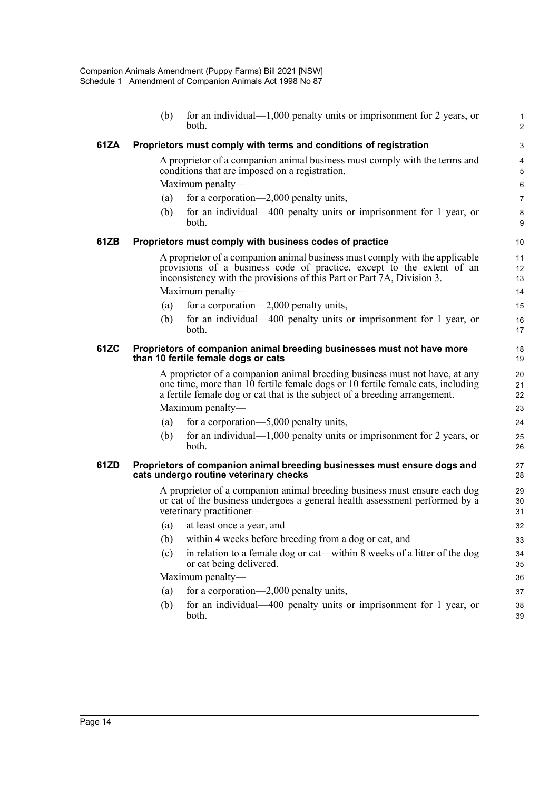|      | (b)                                                                                                                                                                                                                                                                                                                                                              | for an individual— $1,000$ penalty units or imprisonment for 2 years, or<br>both.                                                                                                                                                                  | $\mathbf 1$<br>$\overline{c}$ |  |  |  |
|------|------------------------------------------------------------------------------------------------------------------------------------------------------------------------------------------------------------------------------------------------------------------------------------------------------------------------------------------------------------------|----------------------------------------------------------------------------------------------------------------------------------------------------------------------------------------------------------------------------------------------------|-------------------------------|--|--|--|
| 61ZA |                                                                                                                                                                                                                                                                                                                                                                  | Proprietors must comply with terms and conditions of registration                                                                                                                                                                                  | 3                             |  |  |  |
|      |                                                                                                                                                                                                                                                                                                                                                                  | A proprietor of a companion animal business must comply with the terms and<br>conditions that are imposed on a registration.<br>Maximum penalty—                                                                                                   | 4<br>5<br>6                   |  |  |  |
|      | (a)                                                                                                                                                                                                                                                                                                                                                              | for a corporation—2,000 penalty units,                                                                                                                                                                                                             | $\overline{7}$                |  |  |  |
|      | (b)                                                                                                                                                                                                                                                                                                                                                              | for an individual—400 penalty units or imprisonment for 1 year, or<br>both.                                                                                                                                                                        | 8<br>9                        |  |  |  |
| 61ZB |                                                                                                                                                                                                                                                                                                                                                                  | Proprietors must comply with business codes of practice                                                                                                                                                                                            | 10                            |  |  |  |
|      |                                                                                                                                                                                                                                                                                                                                                                  | A proprietor of a companion animal business must comply with the applicable<br>provisions of a business code of practice, except to the extent of an<br>inconsistency with the provisions of this Part or Part 7A, Division 3.<br>Maximum penalty- | 11<br>12<br>13<br>14          |  |  |  |
|      | (a)                                                                                                                                                                                                                                                                                                                                                              | for a corporation—2,000 penalty units,                                                                                                                                                                                                             | 15                            |  |  |  |
|      | (b)                                                                                                                                                                                                                                                                                                                                                              | for an individual—400 penalty units or imprisonment for 1 year, or<br>both.                                                                                                                                                                        | 16<br>17                      |  |  |  |
| 61ZC | Proprietors of companion animal breeding businesses must not have more<br>than 10 fertile female dogs or cats                                                                                                                                                                                                                                                    |                                                                                                                                                                                                                                                    |                               |  |  |  |
|      |                                                                                                                                                                                                                                                                                                                                                                  | A proprietor of a companion animal breeding business must not have, at any<br>one time, more than 10 fertile female dogs or 10 fertile female cats, including<br>a fertile female dog or cat that is the subject of a breeding arrangement.        | 20<br>21<br>22                |  |  |  |
|      |                                                                                                                                                                                                                                                                                                                                                                  | Maximum penalty—                                                                                                                                                                                                                                   | 23                            |  |  |  |
|      | (a)                                                                                                                                                                                                                                                                                                                                                              | for a corporation— $5,000$ penalty units,                                                                                                                                                                                                          | 24                            |  |  |  |
|      | (b)                                                                                                                                                                                                                                                                                                                                                              | for an individual— $1,000$ penalty units or imprisonment for 2 years, or<br>both.                                                                                                                                                                  | 25<br>26                      |  |  |  |
| 61ZD |                                                                                                                                                                                                                                                                                                                                                                  |                                                                                                                                                                                                                                                    | 27<br>28                      |  |  |  |
|      | Proprietors of companion animal breeding businesses must ensure dogs and<br>cats undergo routine veterinary checks<br>A proprietor of a companion animal breeding business must ensure each dog<br>29<br>or cat of the business undergoes a general health assessment performed by a<br>30<br>veterinary practitioner-<br>31<br>at least once a year, and<br>(a) |                                                                                                                                                                                                                                                    |                               |  |  |  |
|      |                                                                                                                                                                                                                                                                                                                                                                  |                                                                                                                                                                                                                                                    | 32                            |  |  |  |
|      | (b)                                                                                                                                                                                                                                                                                                                                                              | within 4 weeks before breeding from a dog or cat, and                                                                                                                                                                                              | 33                            |  |  |  |
|      | (c)                                                                                                                                                                                                                                                                                                                                                              | in relation to a female dog or cat—within 8 weeks of a litter of the dog<br>or cat being delivered.                                                                                                                                                | 34<br>35                      |  |  |  |
|      |                                                                                                                                                                                                                                                                                                                                                                  | Maximum penalty-                                                                                                                                                                                                                                   | 36                            |  |  |  |
|      | (a)                                                                                                                                                                                                                                                                                                                                                              | for a corporation—2,000 penalty units,                                                                                                                                                                                                             | 37                            |  |  |  |
|      | (b)                                                                                                                                                                                                                                                                                                                                                              | for an individual—400 penalty units or imprisonment for 1 year, or<br>both.                                                                                                                                                                        | 38<br>39                      |  |  |  |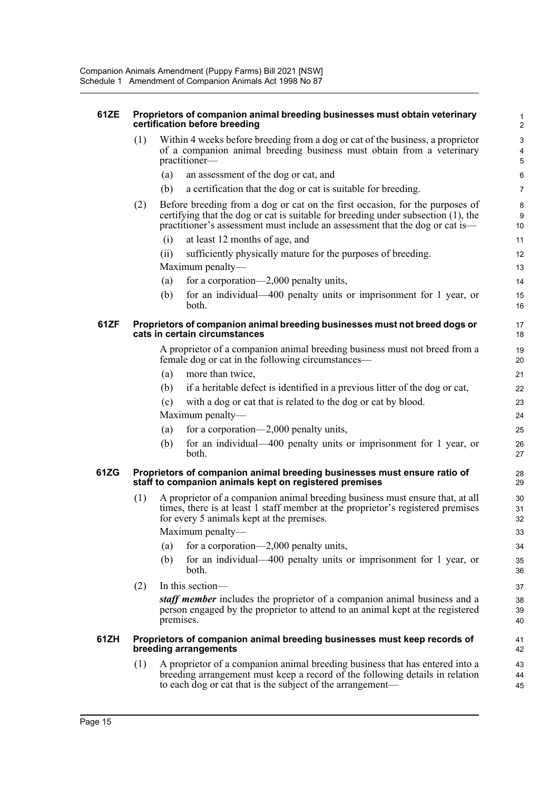| 61ZE | Proprietors of companion animal breeding businesses must obtain veterinary<br>certification before breeding                                    |                                                                                                                                                                                                                                                   |                |  |  |  |
|------|------------------------------------------------------------------------------------------------------------------------------------------------|---------------------------------------------------------------------------------------------------------------------------------------------------------------------------------------------------------------------------------------------------|----------------|--|--|--|
|      | (1)                                                                                                                                            | Within 4 weeks before breeding from a dog or cat of the business, a proprietor<br>of a companion animal breeding business must obtain from a veterinary<br>practitioner-                                                                          |                |  |  |  |
|      |                                                                                                                                                | (a)<br>an assessment of the dog or cat, and                                                                                                                                                                                                       | 6              |  |  |  |
|      |                                                                                                                                                | (b)<br>a certification that the dog or cat is suitable for breeding.                                                                                                                                                                              | 7              |  |  |  |
|      | (2)                                                                                                                                            | Before breeding from a dog or cat on the first occasion, for the purposes of<br>certifying that the dog or cat is suitable for breeding under subsection (1), the<br>practitioner's assessment must include an assessment that the dog or cat is— | 8<br>9<br>10   |  |  |  |
|      |                                                                                                                                                | at least 12 months of age, and<br>(i)                                                                                                                                                                                                             | 11             |  |  |  |
|      |                                                                                                                                                | (ii)<br>sufficiently physically mature for the purposes of breeding.                                                                                                                                                                              | 12             |  |  |  |
|      |                                                                                                                                                | Maximum penalty—                                                                                                                                                                                                                                  | 13             |  |  |  |
|      |                                                                                                                                                | for a corporation—2,000 penalty units,<br>(a)                                                                                                                                                                                                     | 14             |  |  |  |
|      |                                                                                                                                                | (b)<br>for an individual—400 penalty units or imprisonment for 1 year, or<br>both.                                                                                                                                                                | 15<br>16       |  |  |  |
| 61ZF | Proprietors of companion animal breeding businesses must not breed dogs or<br>17<br>cats in certain circumstances<br>18                        |                                                                                                                                                                                                                                                   |                |  |  |  |
|      |                                                                                                                                                | A proprietor of a companion animal breeding business must not breed from a<br>female dog or cat in the following circumstances—                                                                                                                   | 19<br>20       |  |  |  |
|      |                                                                                                                                                | (a)<br>more than twice,                                                                                                                                                                                                                           | 21             |  |  |  |
|      |                                                                                                                                                | (b)<br>if a heritable defect is identified in a previous litter of the dog or cat,                                                                                                                                                                | 22             |  |  |  |
|      |                                                                                                                                                | with a dog or cat that is related to the dog or cat by blood.<br>(c)                                                                                                                                                                              | 23             |  |  |  |
|      |                                                                                                                                                | Maximum penalty—                                                                                                                                                                                                                                  | 24             |  |  |  |
|      |                                                                                                                                                | for a corporation-2,000 penalty units,<br>(a)                                                                                                                                                                                                     | 25             |  |  |  |
|      |                                                                                                                                                | for an individual-400 penalty units or imprisonment for 1 year, or<br>(b)<br>both.                                                                                                                                                                | 26<br>27       |  |  |  |
| 61ZG | Proprietors of companion animal breeding businesses must ensure ratio of<br>28<br>staff to companion animals kept on registered premises<br>29 |                                                                                                                                                                                                                                                   |                |  |  |  |
|      | (1)                                                                                                                                            | A proprietor of a companion animal breeding business must ensure that, at all<br>times, there is at least 1 staff member at the proprietor's registered premises<br>for every 5 animals kept at the premises.                                     | 30<br>31<br>32 |  |  |  |
|      |                                                                                                                                                | Maximum penalty—                                                                                                                                                                                                                                  | 33             |  |  |  |
|      |                                                                                                                                                | for a corporation—2,000 penalty units,<br>(a)                                                                                                                                                                                                     | 34             |  |  |  |
|      |                                                                                                                                                | (b)<br>for an individual—400 penalty units or imprisonment for 1 year, or<br>both.                                                                                                                                                                | 35<br>36       |  |  |  |
|      | (2)                                                                                                                                            | In this section-                                                                                                                                                                                                                                  | 37             |  |  |  |
|      |                                                                                                                                                | staff member includes the proprietor of a companion animal business and a<br>person engaged by the proprietor to attend to an animal kept at the registered<br>premises.                                                                          | 38<br>39<br>40 |  |  |  |
| 61ZH |                                                                                                                                                | Proprietors of companion animal breeding businesses must keep records of<br>breeding arrangements                                                                                                                                                 | 41<br>42       |  |  |  |
|      | (1)                                                                                                                                            | A proprietor of a companion animal breeding business that has entered into a<br>breeding arrangement must keep a record of the following details in relation                                                                                      | 43<br>44       |  |  |  |

to each dog or cat that is the subject of the arrangement—

45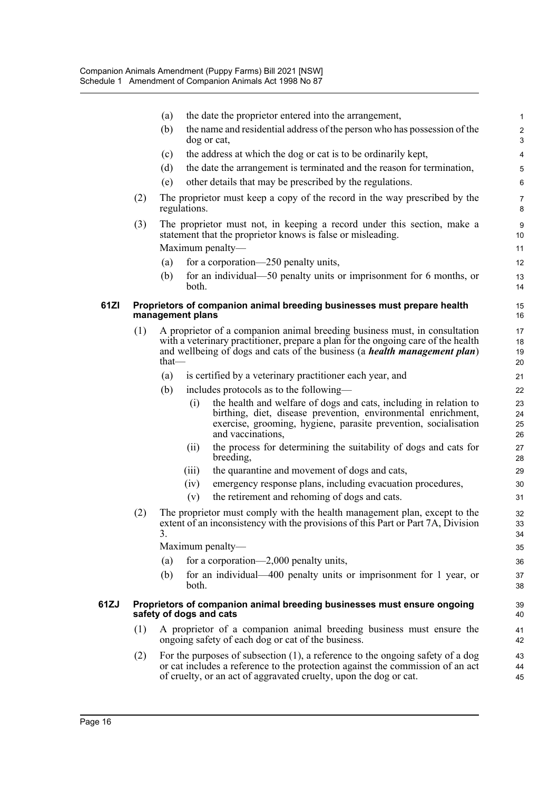|      |                                                                                                    | (a)              |              | the date the proprietor entered into the arrangement,                                                                                                                                                                                                | $\mathbf{1}$           |  |
|------|----------------------------------------------------------------------------------------------------|------------------|--------------|------------------------------------------------------------------------------------------------------------------------------------------------------------------------------------------------------------------------------------------------------|------------------------|--|
|      |                                                                                                    | (b)              |              | the name and residential address of the person who has possession of the<br>dog or cat,                                                                                                                                                              | $\boldsymbol{2}$<br>3  |  |
|      |                                                                                                    | (c)              |              | the address at which the dog or cat is to be ordinarily kept,                                                                                                                                                                                        | $\overline{4}$         |  |
|      |                                                                                                    | (d)              |              | the date the arrangement is terminated and the reason for termination,                                                                                                                                                                               | $\mathbf 5$            |  |
|      |                                                                                                    | (e)              |              | other details that may be prescribed by the regulations.                                                                                                                                                                                             | 6                      |  |
|      | (2)                                                                                                |                  | regulations. | The proprietor must keep a copy of the record in the way prescribed by the                                                                                                                                                                           | $\overline{7}$<br>8    |  |
|      | (3)                                                                                                |                  |              | The proprietor must not, in keeping a record under this section, make a<br>statement that the proprietor knows is false or misleading.                                                                                                               | $\boldsymbol{9}$<br>10 |  |
|      |                                                                                                    |                  |              | Maximum penalty—                                                                                                                                                                                                                                     | 11                     |  |
|      |                                                                                                    | (a)              |              | for a corporation—250 penalty units,                                                                                                                                                                                                                 | 12                     |  |
|      |                                                                                                    | (b)              | both.        | for an individual—50 penalty units or imprisonment for $6$ months, or                                                                                                                                                                                | 13<br>14               |  |
| 61ZI |                                                                                                    | management plans |              | Proprietors of companion animal breeding businesses must prepare health                                                                                                                                                                              | 15<br>16               |  |
|      | (1)                                                                                                | that—            |              | A proprietor of a companion animal breeding business must, in consultation<br>with a veterinary practitioner, prepare a plan for the ongoing care of the health<br>and wellbeing of dogs and cats of the business (a <i>health management plan</i> ) | 17<br>18<br>19<br>20   |  |
|      |                                                                                                    | (a)              |              | is certified by a veterinary practitioner each year, and                                                                                                                                                                                             | 21                     |  |
|      |                                                                                                    | (b)              |              | includes protocols as to the following—                                                                                                                                                                                                              | 22                     |  |
|      |                                                                                                    |                  | (i)          | the health and welfare of dogs and cats, including in relation to<br>birthing, diet, disease prevention, environmental enrichment,<br>exercise, grooming, hygiene, parasite prevention, socialisation<br>and vaccinations,                           | 23<br>24<br>25<br>26   |  |
|      |                                                                                                    |                  | (ii)         | the process for determining the suitability of dogs and cats for<br>breeding,                                                                                                                                                                        | 27<br>28               |  |
|      |                                                                                                    |                  | (iii)        | the quarantine and movement of dogs and cats,                                                                                                                                                                                                        | 29                     |  |
|      |                                                                                                    |                  | (iv)         | emergency response plans, including evacuation procedures,                                                                                                                                                                                           | 30                     |  |
|      |                                                                                                    |                  | (v)          | the retirement and rehoming of dogs and cats.                                                                                                                                                                                                        | 31                     |  |
|      | (2)                                                                                                | 3.               |              | The proprietor must comply with the health management plan, except to the<br>extent of an inconsistency with the provisions of this Part or Part 7A, Division                                                                                        | 32<br>33<br>34         |  |
|      |                                                                                                    |                  |              | Maximum penalty—                                                                                                                                                                                                                                     | 35                     |  |
|      |                                                                                                    | (a)              |              | for a corporation—2,000 penalty units,                                                                                                                                                                                                               | 36                     |  |
|      |                                                                                                    | (b)              | both.        | for an individual—400 penalty units or imprisonment for 1 year, or                                                                                                                                                                                   | 37<br>38               |  |
| 61ZJ | Proprietors of companion animal breeding businesses must ensure ongoing<br>safety of dogs and cats |                  |              |                                                                                                                                                                                                                                                      |                        |  |
|      | (1)                                                                                                |                  |              | A proprietor of a companion animal breeding business must ensure the<br>ongoing safety of each dog or cat of the business.                                                                                                                           | 41<br>42               |  |
|      | (2)                                                                                                |                  |              | For the purposes of subsection $(1)$ , a reference to the ongoing safety of a dog<br>or cat includes a reference to the protection against the commission of an act<br>of cruelty, or an act of aggravated cruelty, upon the dog or cat.             | 43<br>44<br>45         |  |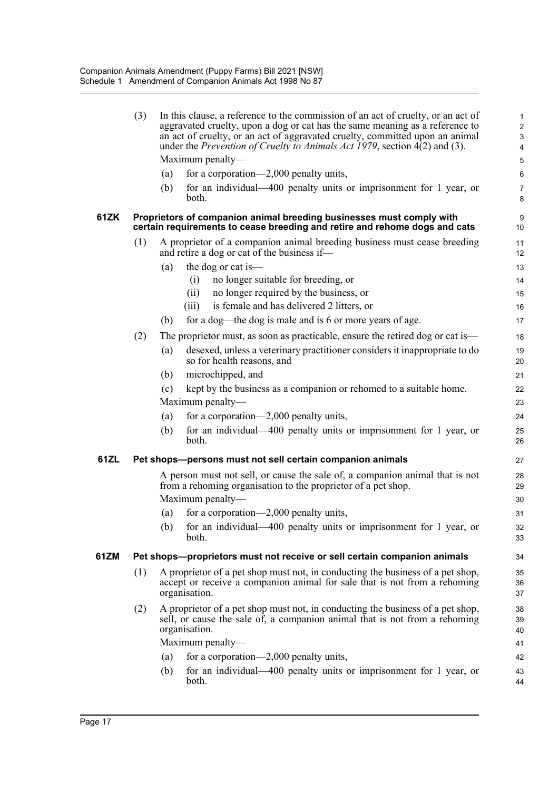|      | (3)              |                                                                                                                                                                              | In this clause, a reference to the commission of an act of cruelty, or an act of<br>aggravated cruelty, upon a dog or cat has the same meaning as a reference to<br>an act of cruelty, or an act of aggravated cruelty, committed upon an animal<br>under the <i>Prevention of Cruelty to Animals Act 1979</i> , section 4(2) and (3). | $\mathbf{1}$<br>$\overline{c}$<br>3<br>$\overline{\mathbf{4}}$ |  |  |  |
|------|------------------|------------------------------------------------------------------------------------------------------------------------------------------------------------------------------|----------------------------------------------------------------------------------------------------------------------------------------------------------------------------------------------------------------------------------------------------------------------------------------------------------------------------------------|----------------------------------------------------------------|--|--|--|
|      |                  |                                                                                                                                                                              | Maximum penalty-                                                                                                                                                                                                                                                                                                                       | 5                                                              |  |  |  |
|      |                  | (a)                                                                                                                                                                          | for a corporation—2,000 penalty units,                                                                                                                                                                                                                                                                                                 | $6\phantom{1}6$                                                |  |  |  |
|      |                  | (b)                                                                                                                                                                          | for an individual-400 penalty units or imprisonment for 1 year, or<br>both.                                                                                                                                                                                                                                                            | $\overline{7}$<br>8                                            |  |  |  |
| 61ZK |                  |                                                                                                                                                                              | Proprietors of companion animal breeding businesses must comply with<br>certain requirements to cease breeding and retire and rehome dogs and cats                                                                                                                                                                                     | 9<br>10                                                        |  |  |  |
|      | (1)              |                                                                                                                                                                              | A proprietor of a companion animal breeding business must cease breeding<br>and retire a dog or cat of the business if—                                                                                                                                                                                                                | 11<br>12                                                       |  |  |  |
|      |                  | (a)                                                                                                                                                                          | the dog or cat is—                                                                                                                                                                                                                                                                                                                     | 13                                                             |  |  |  |
|      |                  |                                                                                                                                                                              | no longer suitable for breeding, or<br>(i)                                                                                                                                                                                                                                                                                             | 14                                                             |  |  |  |
|      |                  |                                                                                                                                                                              | no longer required by the business, or<br>(ii)                                                                                                                                                                                                                                                                                         | 15                                                             |  |  |  |
|      |                  |                                                                                                                                                                              | is female and has delivered 2 litters, or<br>(iii)                                                                                                                                                                                                                                                                                     | 16                                                             |  |  |  |
|      |                  | (b)                                                                                                                                                                          | for a dog—the dog is male and is 6 or more years of age.                                                                                                                                                                                                                                                                               | 17                                                             |  |  |  |
|      | (2)              |                                                                                                                                                                              | The proprietor must, as soon as practicable, ensure the retired dog or cat is—                                                                                                                                                                                                                                                         | 18                                                             |  |  |  |
|      |                  | (a)                                                                                                                                                                          | desexed, unless a veterinary practitioner considers it inappropriate to do<br>so for health reasons, and                                                                                                                                                                                                                               | 19<br>20                                                       |  |  |  |
|      |                  | (b)                                                                                                                                                                          | microchipped, and                                                                                                                                                                                                                                                                                                                      | 21                                                             |  |  |  |
|      |                  | (c)                                                                                                                                                                          | kept by the business as a companion or rehomed to a suitable home.                                                                                                                                                                                                                                                                     | 22                                                             |  |  |  |
|      |                  |                                                                                                                                                                              | Maximum penalty-                                                                                                                                                                                                                                                                                                                       | 23                                                             |  |  |  |
|      |                  | (a)                                                                                                                                                                          | for a corporation—2,000 penalty units,                                                                                                                                                                                                                                                                                                 | 24                                                             |  |  |  |
|      |                  | (b)                                                                                                                                                                          | for an individual—400 penalty units or imprisonment for 1 year, or<br>both.                                                                                                                                                                                                                                                            | 25<br>26                                                       |  |  |  |
| 61ZL |                  |                                                                                                                                                                              | Pet shops-persons must not sell certain companion animals                                                                                                                                                                                                                                                                              | 27                                                             |  |  |  |
|      |                  | A person must not sell, or cause the sale of, a companion animal that is not<br>from a rehoming organisation to the proprietor of a pet shop.                                |                                                                                                                                                                                                                                                                                                                                        |                                                                |  |  |  |
|      |                  |                                                                                                                                                                              | Maximum penalty—                                                                                                                                                                                                                                                                                                                       | 30                                                             |  |  |  |
|      |                  | (a)                                                                                                                                                                          | for a corporation—2,000 penalty units,                                                                                                                                                                                                                                                                                                 | 31                                                             |  |  |  |
|      |                  |                                                                                                                                                                              | (b) for an individual-400 penalty units or imprisonment for 1 year, or<br>both.                                                                                                                                                                                                                                                        | 32<br>33                                                       |  |  |  |
| 61ZM |                  |                                                                                                                                                                              | Pet shops-proprietors must not receive or sell certain companion animals                                                                                                                                                                                                                                                               | 34                                                             |  |  |  |
|      | (1)              | A proprietor of a pet shop must not, in conducting the business of a pet shop,<br>accept or receive a companion animal for sale that is not from a rehoming<br>organisation. |                                                                                                                                                                                                                                                                                                                                        |                                                                |  |  |  |
|      | (2)              |                                                                                                                                                                              | A proprietor of a pet shop must not, in conducting the business of a pet shop,<br>sell, or cause the sale of, a companion animal that is not from a rehoming<br>organisation.                                                                                                                                                          | 38<br>39<br>40                                                 |  |  |  |
|      | Maximum penalty- |                                                                                                                                                                              |                                                                                                                                                                                                                                                                                                                                        |                                                                |  |  |  |
|      |                  | (a)                                                                                                                                                                          | for a corporation—2,000 penalty units,                                                                                                                                                                                                                                                                                                 | 42                                                             |  |  |  |
|      |                  | (b)                                                                                                                                                                          | for an individual—400 penalty units or imprisonment for 1 year, or<br>both.                                                                                                                                                                                                                                                            | 43<br>44                                                       |  |  |  |
|      |                  |                                                                                                                                                                              |                                                                                                                                                                                                                                                                                                                                        |                                                                |  |  |  |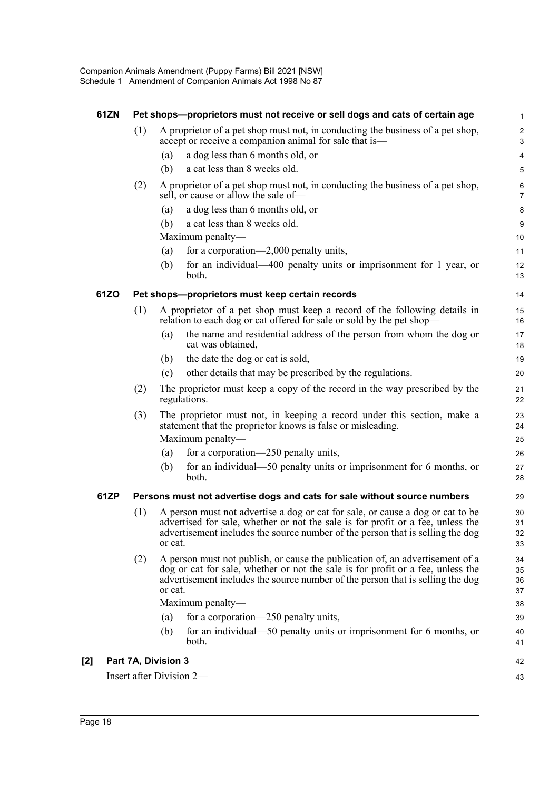| 61ZN |     | Pet shops--proprietors must not receive or sell dogs and cats of certain age                                                                                                                                                                                   | $\mathbf{1}$                   |
|------|-----|----------------------------------------------------------------------------------------------------------------------------------------------------------------------------------------------------------------------------------------------------------------|--------------------------------|
|      | (1) | A proprietor of a pet shop must not, in conducting the business of a pet shop,<br>accept or receive a companion animal for sale that is—                                                                                                                       | $\overline{c}$<br>$\mathbf{3}$ |
|      |     | a dog less than 6 months old, or<br>(a)                                                                                                                                                                                                                        | 4                              |
|      |     | a cat less than 8 weeks old.<br>(b)                                                                                                                                                                                                                            | 5                              |
|      | (2) | A proprietor of a pet shop must not, in conducting the business of a pet shop,<br>sell, or cause or allow the sale of-                                                                                                                                         | 6<br>$\overline{7}$            |
|      |     | a dog less than 6 months old, or<br>(a)                                                                                                                                                                                                                        | 8                              |
|      |     | a cat less than 8 weeks old.<br>(b)                                                                                                                                                                                                                            | 9                              |
|      |     | Maximum penalty-                                                                                                                                                                                                                                               | 10                             |
|      |     | for a corporation—2,000 penalty units,<br>(a)                                                                                                                                                                                                                  | 11                             |
|      |     | for an individual—400 penalty units or imprisonment for 1 year, or<br>(b)<br>both.                                                                                                                                                                             | 12<br>13                       |
| 61ZO |     | Pet shops-proprietors must keep certain records                                                                                                                                                                                                                | 14                             |
|      | (1) | A proprietor of a pet shop must keep a record of the following details in<br>relation to each dog or cat offered for sale or sold by the pet shop-                                                                                                             | 15<br>16                       |
|      |     | the name and residential address of the person from whom the dog or<br>(a)<br>cat was obtained,                                                                                                                                                                | 17<br>18                       |
|      |     | the date the dog or cat is sold,<br>(b)                                                                                                                                                                                                                        | 19                             |
|      |     | other details that may be prescribed by the regulations.<br>(c)                                                                                                                                                                                                | 20                             |
|      | (2) | The proprietor must keep a copy of the record in the way prescribed by the<br>regulations.                                                                                                                                                                     | 21<br>22                       |
|      | (3) | The proprietor must not, in keeping a record under this section, make a<br>statement that the proprietor knows is false or misleading.                                                                                                                         | 23<br>24                       |
|      |     | Maximum penalty-                                                                                                                                                                                                                                               | 25                             |
|      |     | for a corporation—250 penalty units,<br>(a)                                                                                                                                                                                                                    | 26                             |
|      |     | for an individual—50 penalty units or imprisonment for 6 months, or<br>(b)<br>both.                                                                                                                                                                            | 27<br>28                       |
| 61ZP |     | Persons must not advertise dogs and cats for sale without source numbers                                                                                                                                                                                       | 29                             |
|      | (1) | A person must not advertise a dog or cat for sale, or cause a dog or cat to be<br>advertised for sale, whether or not the sale is for profit or a fee, unless the<br>advertisement includes the source number of the person that is selling the dog<br>or cat. | 30<br>31<br>32<br>33           |
|      | (2) | A person must not publish, or cause the publication of, an advertisement of a<br>dog or cat for sale, whether or not the sale is for profit or a fee, unless the<br>advertisement includes the source number of the person that is selling the dog<br>or cat.  | 34<br>35<br>36<br>37           |
|      |     | Maximum penalty-                                                                                                                                                                                                                                               | 38                             |
|      |     | for a corporation—250 penalty units,<br>(a)                                                                                                                                                                                                                    | 39                             |
|      |     | for an individual—50 penalty units or imprisonment for 6 months, or<br>(b)<br>both.                                                                                                                                                                            | 40<br>41                       |
| [2]  |     | Part 7A, Division 3                                                                                                                                                                                                                                            | 42                             |
|      |     | Insert after Division 2-                                                                                                                                                                                                                                       | 43                             |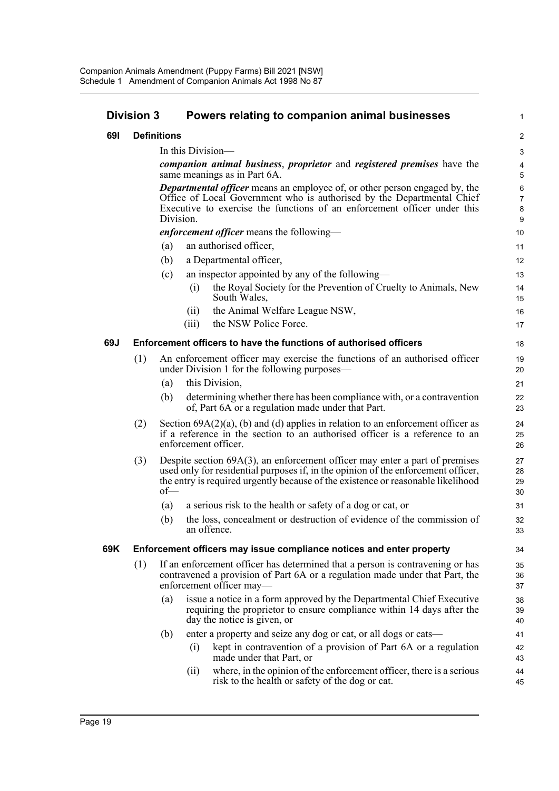|     | <b>Division 3</b>                                                        |                                                                                                                                                                                           | Powers relating to companion animal businesses                                                                                                                                                                                                          | 1                     |  |  |
|-----|--------------------------------------------------------------------------|-------------------------------------------------------------------------------------------------------------------------------------------------------------------------------------------|---------------------------------------------------------------------------------------------------------------------------------------------------------------------------------------------------------------------------------------------------------|-----------------------|--|--|
| 691 |                                                                          | <b>Definitions</b>                                                                                                                                                                        |                                                                                                                                                                                                                                                         | $\overline{c}$        |  |  |
|     |                                                                          |                                                                                                                                                                                           | In this Division—                                                                                                                                                                                                                                       | 3                     |  |  |
|     |                                                                          |                                                                                                                                                                                           | companion animal business, proprietor and registered premises have the                                                                                                                                                                                  | 4                     |  |  |
|     |                                                                          |                                                                                                                                                                                           | same meanings as in Part 6A.                                                                                                                                                                                                                            | 5                     |  |  |
|     |                                                                          |                                                                                                                                                                                           | <b>Departmental officer</b> means an employee of, or other person engaged by, the                                                                                                                                                                       | $\,6$                 |  |  |
|     |                                                                          |                                                                                                                                                                                           | Office of Local Government who is authorised by the Departmental Chief<br>Executive to exercise the functions of an enforcement officer under this                                                                                                      | $\boldsymbol{7}$<br>8 |  |  |
|     |                                                                          | Division.                                                                                                                                                                                 |                                                                                                                                                                                                                                                         | 9                     |  |  |
|     |                                                                          |                                                                                                                                                                                           | <i>enforcement officer</i> means the following—                                                                                                                                                                                                         | 10                    |  |  |
|     |                                                                          | (a)                                                                                                                                                                                       | an authorised officer,                                                                                                                                                                                                                                  | 11                    |  |  |
|     |                                                                          | (b)                                                                                                                                                                                       | a Departmental officer,                                                                                                                                                                                                                                 | 12                    |  |  |
|     |                                                                          | (c)                                                                                                                                                                                       | an inspector appointed by any of the following—                                                                                                                                                                                                         | 13                    |  |  |
|     |                                                                          |                                                                                                                                                                                           | the Royal Society for the Prevention of Cruelty to Animals, New<br>(i)<br>South Wales,                                                                                                                                                                  | 14<br>15              |  |  |
|     |                                                                          |                                                                                                                                                                                           | the Animal Welfare League NSW,<br>(ii)                                                                                                                                                                                                                  | 16                    |  |  |
|     |                                                                          |                                                                                                                                                                                           | the NSW Police Force.<br>(iii)                                                                                                                                                                                                                          | 17                    |  |  |
| 69J | <b>Enforcement officers to have the functions of authorised officers</b> |                                                                                                                                                                                           |                                                                                                                                                                                                                                                         |                       |  |  |
|     | (1)                                                                      |                                                                                                                                                                                           | An enforcement officer may exercise the functions of an authorised officer<br>under Division 1 for the following purposes—                                                                                                                              | 19<br>20              |  |  |
|     |                                                                          | (a)                                                                                                                                                                                       | this Division,                                                                                                                                                                                                                                          | 21                    |  |  |
|     |                                                                          | (b)                                                                                                                                                                                       | determining whether there has been compliance with, or a contravention<br>of, Part 6A or a regulation made under that Part.                                                                                                                             | 22<br>23              |  |  |
|     | (2)                                                                      | Section $69A(2)(a)$ , (b) and (d) applies in relation to an enforcement officer as<br>if a reference in the section to an authorised officer is a reference to an<br>enforcement officer. |                                                                                                                                                                                                                                                         |                       |  |  |
|     | (3)                                                                      | $of$ —                                                                                                                                                                                    | Despite section $69A(3)$ , an enforcement officer may enter a part of premises<br>used only for residential purposes if, in the opinion of the enforcement officer,<br>the entry is required urgently because of the existence or reasonable likelihood | 27<br>28<br>29<br>30  |  |  |
|     |                                                                          | (a)                                                                                                                                                                                       | a serious risk to the health or safety of a dog or cat, or                                                                                                                                                                                              | 31                    |  |  |
|     |                                                                          | (b)                                                                                                                                                                                       | the loss, concealment or destruction of evidence of the commission of<br>an offence.                                                                                                                                                                    | 32<br>33              |  |  |
| 69K | Enforcement officers may issue compliance notices and enter property     |                                                                                                                                                                                           |                                                                                                                                                                                                                                                         |                       |  |  |
|     | (1)                                                                      |                                                                                                                                                                                           | If an enforcement officer has determined that a person is contravening or has<br>contravened a provision of Part 6A or a regulation made under that Part, the<br>enforcement officer may-                                                               | 35<br>36<br>37        |  |  |
|     |                                                                          | (a)                                                                                                                                                                                       | issue a notice in a form approved by the Departmental Chief Executive<br>requiring the proprietor to ensure compliance within 14 days after the<br>day the notice is given, or                                                                          | 38<br>39<br>40        |  |  |
|     |                                                                          | (b)                                                                                                                                                                                       | enter a property and seize any dog or cat, or all dogs or cats—                                                                                                                                                                                         | 41                    |  |  |
|     |                                                                          |                                                                                                                                                                                           | kept in contravention of a provision of Part 6A or a regulation<br>(i)<br>made under that Part, or                                                                                                                                                      | 42<br>43              |  |  |

(ii) where, in the opinion of the enforcement officer, there is a serious risk to the health or safety of the dog or cat.

44 45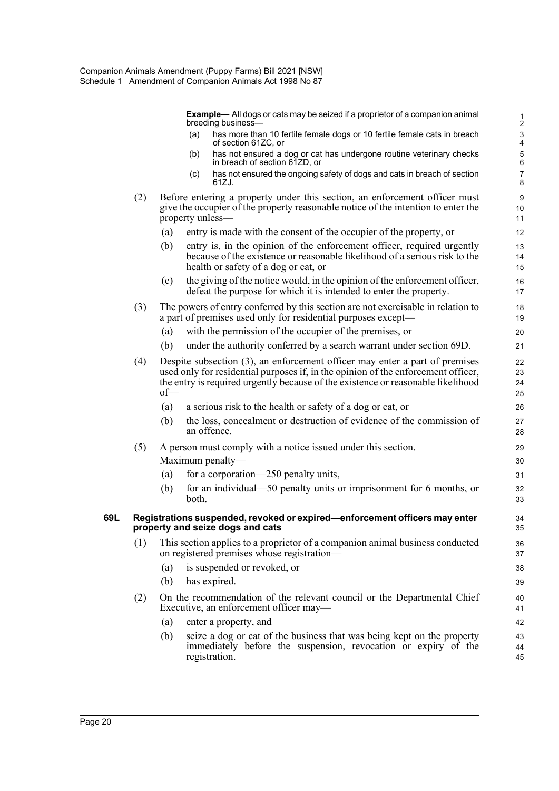**Example—** All dogs or cats may be seized if a proprietor of a companion animal breeding business—

- (a) has more than 10 fertile female dogs or 10 fertile female cats in breach of section 61ZC, or
- (b) has not ensured a dog or cat has undergone routine veterinary checks in breach of section 61ZD, or
- (c) has not ensured the ongoing safety of dogs and cats in breach of section 61ZJ.
- (2) Before entering a property under this section, an enforcement officer must give the occupier of the property reasonable notice of the intention to enter the property unless—
	- (a) entry is made with the consent of the occupier of the property, or
	- (b) entry is, in the opinion of the enforcement officer, required urgently because of the existence or reasonable likelihood of a serious risk to the health or safety of a dog or cat, or
	- (c) the giving of the notice would, in the opinion of the enforcement officer, defeat the purpose for which it is intended to enter the property.
- (3) The powers of entry conferred by this section are not exercisable in relation to a part of premises used only for residential purposes except—
	- (a) with the permission of the occupier of the premises, or
	- (b) under the authority conferred by a search warrant under section 69D.
- (4) Despite subsection (3), an enforcement officer may enter a part of premises used only for residential purposes if, in the opinion of the enforcement officer, the entry is required urgently because of the existence or reasonable likelihood of—
	- (a) a serious risk to the health or safety of a dog or cat, or
	- (b) the loss, concealment or destruction of evidence of the commission of an offence.
- (5) A person must comply with a notice issued under this section. Maximum penalty—
	- (a) for a corporation—250 penalty units,
	- (b) for an individual—50 penalty units or imprisonment for 6 months, or both.

#### **69L Registrations suspended, revoked or expired—enforcement officers may enter property and seize dogs and cats**

- (1) This section applies to a proprietor of a companion animal business conducted on registered premises whose registration—
	- (a) is suspended or revoked, or
	- (b) has expired.
- (2) On the recommendation of the relevant council or the Departmental Chief Executive, an enforcement officer may—
	- (a) enter a property, and
	- (b) seize a dog or cat of the business that was being kept on the property immediately before the suspension, revocation or expiry of the registration.